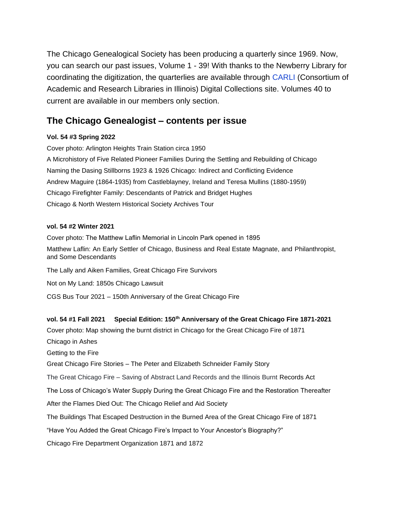The Chicago Genealogical Society has been producing a quarterly since 1969. Now, you can search our past issues, Volume 1 - 39! With thanks to the Newberry Library for coordinating the digitization, the quarterlies are available through [CARLI](http://collections.carli.illinois.edu/cdm4/index_nby_cgs.php?CISOROOT=/nby_cgs) (Consortium of Academic and Research Libraries in Illinois) Digital Collections site. Volumes 40 to current are available in our members only section.

# **The Chicago Genealogist – contents per issue**

## **Vol. 54 #3 Spring 2022**

Cover photo: Arlington Heights Train Station circa 1950 A Microhistory of Five Related Pioneer Families During the Settling and Rebuilding of Chicago Naming the Dasing Stillborns 1923 & 1926 Chicago: Indirect and Conflicting Evidence Andrew Maguire (1864-1935) from Castleblayney, Ireland and Teresa Mullins (1880-1959) Chicago Firefighter Family: Descendants of Patrick and Bridget Hughes Chicago & North Western Historical Society Archives Tour

### **vol. 54 #2 Winter 2021**

Cover photo: The Matthew Laflin Memorial in Lincoln Park opened in 1895 Matthew Laflin: An Early Settler of Chicago, Business and Real Estate Magnate, and Philanthropist, and Some Descendants The Lally and Aiken Families, Great Chicago Fire Survivors Not on My Land: 1850s Chicago Lawsuit CGS Bus Tour 2021 – 150th Anniversary of the Great Chicago Fire

## **vol. 54 #1 Fall 2021 Special Edition: 150th Anniversary of the Great Chicago Fire 1871-2021**

Cover photo: Map showing the burnt district in Chicago for the Great Chicago Fire of 1871 Chicago in Ashes Getting to the Fire Great Chicago Fire Stories – The Peter and Elizabeth Schneider Family Story The Great Chicago Fire – Saving of Abstract Land Records and the Illinois Burnt Records Act The Loss of Chicago's Water Supply During the Great Chicago Fire and the Restoration Thereafter After the Flames Died Out: The Chicago Relief and Aid Society The Buildings That Escaped Destruction in the Burned Area of the Great Chicago Fire of 1871 "Have You Added the Great Chicago Fire's Impact to Your Ancestor's Biography?" Chicago Fire Department Organization 1871 and 1872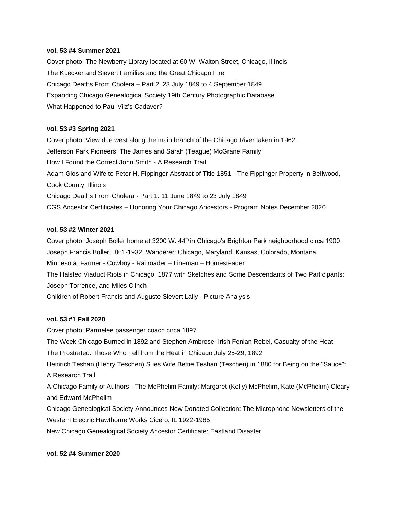### **vol. 53 #4 Summer 2021**

Cover photo: The Newberry Library located at 60 W. Walton Street, Chicago, Illinois The Kuecker and Sievert Families and the Great Chicago Fire Chicago Deaths From Cholera – Part 2: 23 July 1849 to 4 September 1849 Expanding Chicago Genealogical Society 19th Century Photographic Database What Happened to Paul Vilz's Cadaver?

### **vol. 53 #3 Spring 2021**

Cover photo: View due west along the main branch of the Chicago River taken in 1962. Jefferson Park Pioneers: The James and Sarah (Teague) McGrane Family How I Found the Correct John Smith - A Research Trail Adam Glos and Wife to Peter H. Fippinger Abstract of Title 1851 - The Fippinger Property in Bellwood, Cook County, Illinois Chicago Deaths From Cholera - Part 1: 11 June 1849 to 23 July 1849 CGS Ancestor Certificates – Honoring Your Chicago Ancestors - Program Notes December 2020

### **vol. 53 #2 Winter 2021**

Cover photo: Joseph Boller home at 3200 W. 44<sup>th</sup> in Chicago's Brighton Park neighborhood circa 1900. Joseph Francis Boller 1861-1932, Wanderer: Chicago, Maryland, Kansas, Colorado, Montana, Minnesota, Farmer - Cowboy - Railroader – Lineman – Homesteader The Halsted Viaduct Riots in Chicago, 1877 with Sketches and Some Descendants of Two Participants: Joseph Torrence, and Miles Clinch Children of Robert Francis and Auguste Sievert Lally - Picture Analysis

### **vol. 53 #1 Fall 2020**

Cover photo: Parmelee passenger coach circa 1897 The Week Chicago Burned in 1892 and Stephen Ambrose: Irish Fenian Rebel, Casualty of the Heat The Prostrated: Those Who Fell from the Heat in Chicago July 25-29, 1892 Heinrich Teshan (Henry Teschen) Sues Wife Bettie Teshan (Teschen) in 1880 for Being on the "Sauce": A Research Trail A Chicago Family of Authors - The McPhelim Family: Margaret (Kelly) McPhelim, Kate (McPhelim) Cleary and Edward McPhelim Chicago Genealogical Society Announces New Donated Collection: The Microphone Newsletters of the Western Electric Hawthorne Works Cicero, IL 1922-1985 New Chicago Genealogical Society Ancestor Certificate: Eastland Disaster

### **vol. 52 #4 Summer 2020**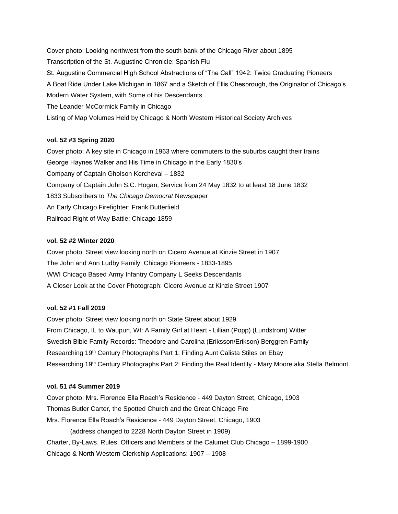Cover photo: Looking northwest from the south bank of the Chicago River about 1895 Transcription of the St. Augustine Chronicle: Spanish Flu St. Augustine Commercial High School Abstractions of "The Call" 1942: Twice Graduating Pioneers A Boat Ride Under Lake Michigan in 1867 and a Sketch of Ellis Chesbrough, the Originator of Chicago's Modern Water System, with Some of his Descendants The Leander McCormick Family in Chicago Listing of Map Volumes Held by Chicago & North Western Historical Society Archives

### **vol. 52 #3 Spring 2020**

Cover photo: A key site in Chicago in 1963 where commuters to the suburbs caught their trains George Haynes Walker and His Time in Chicago in the Early 1830's Company of Captain Gholson Kercheval – 1832 Company of Captain John S.C. Hogan, Service from 24 May 1832 to at least 18 June 1832 1833 Subscribers to *The Chicago Democrat* Newspaper An Early Chicago Firefighter: Frank Butterfield Railroad Right of Way Battle: Chicago 1859

### **vol. 52 #2 Winter 2020**

Cover photo: Street view looking north on Cicero Avenue at Kinzie Street in 1907 The John and Ann Ludby Family: Chicago Pioneers - 1833-1895 WWI Chicago Based Army Infantry Company L Seeks Descendants A Closer Look at the Cover Photograph: Cicero Avenue at Kinzie Street 1907

#### **vol. 52 #1 Fall 2019**

Cover photo: Street view looking north on State Street about 1929 From Chicago, IL to Waupun, WI: A Family Girl at Heart - Lillian (Popp) (Lundstrom) Witter Swedish Bible Family Records: Theodore and Carolina (Eriksson/Erikson) Berggren Family Researching 19<sup>th</sup> Century Photographs Part 1: Finding Aunt Calista Stiles on Ebay Researching 19th Century Photographs Part 2: Finding the Real Identity - Mary Moore aka Stella Belmont

## **vol. 51 #4 Summer 2019**

Cover photo: Mrs. Florence Ella Roach's Residence - 449 Dayton Street, Chicago, 1903 Thomas Butler Carter, the Spotted Church and the Great Chicago Fire Mrs. Florence Ella Roach's Residence - 449 Dayton Street, Chicago, 1903 (address changed to 2228 North Dayton Street in 1909) Charter, By-Laws, Rules, Officers and Members of the Calumet Club Chicago – 1899-1900 Chicago & North Western Clerkship Applications: 1907 – 1908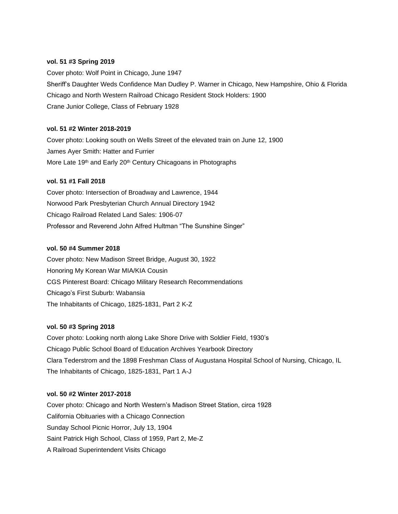### **vol. 51 #3 Spring 2019**

Cover photo: Wolf Point in Chicago, June 1947 Sheriff's Daughter Weds Confidence Man Dudley P. Warner in Chicago, New Hampshire, Ohio & Florida Chicago and North Western Railroad Chicago Resident Stock Holders: 1900 Crane Junior College, Class of February 1928

### **vol. 51 #2 Winter 2018-2019**

Cover photo: Looking south on Wells Street of the elevated train on June 12, 1900 James Ayer Smith: Hatter and Furrier More Late 19<sup>th</sup> and Early 20<sup>th</sup> Century Chicagoans in Photographs

### **vol. 51 #1 Fall 2018**

Cover photo: Intersection of Broadway and Lawrence, 1944 Norwood Park Presbyterian Church Annual Directory 1942 Chicago Railroad Related Land Sales: 1906-07 Professor and Reverend John Alfred Hultman "The Sunshine Singer"

#### **vol. 50 #4 Summer 2018**

Cover photo: New Madison Street Bridge, August 30, 1922 Honoring My Korean War MIA/KIA Cousin CGS Pinterest Board: Chicago Military Research Recommendations Chicago's First Suburb: Wabansia The Inhabitants of Chicago, 1825-1831, Part 2 K-Z

#### **vol. 50 #3 Spring 2018**

Cover photo: Looking north along Lake Shore Drive with Soldier Field, 1930's Chicago Public School Board of Education Archives Yearbook Directory Clara Tederstrom and the 1898 Freshman Class of Augustana Hospital School of Nursing, Chicago, IL The Inhabitants of Chicago, 1825-1831, Part 1 A-J

### **vol. 50 #2 Winter 2017-2018**

Cover photo: Chicago and North Western's Madison Street Station, circa 1928 California Obituaries with a Chicago Connection Sunday School Picnic Horror, July 13, 1904 Saint Patrick High School, Class of 1959, Part 2, Me-Z A Railroad Superintendent Visits Chicago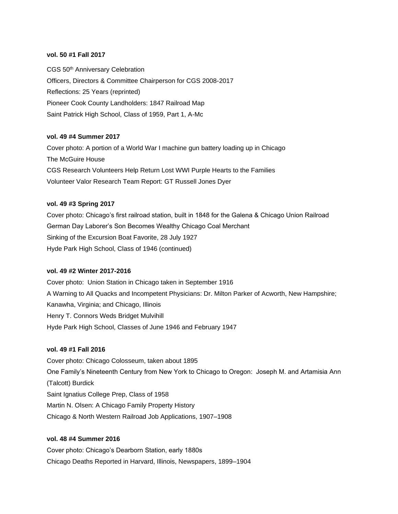### **vol. 50 #1 Fall 2017**

CGS 50th Anniversary Celebration Officers, Directors & Committee Chairperson for CGS 2008-2017 Reflections: 25 Years (reprinted) Pioneer Cook County Landholders: 1847 Railroad Map Saint Patrick High School, Class of 1959, Part 1, A-Mc

### **vol. 49 #4 Summer 2017**

Cover photo: A portion of a World War I machine gun battery loading up in Chicago The McGuire House CGS Research Volunteers Help Return Lost WWI Purple Hearts to the Families Volunteer Valor Research Team Report: GT Russell Jones Dyer

### **vol. 49 #3 Spring 2017**

Cover photo: Chicago's first railroad station, built in 1848 for the Galena & Chicago Union Railroad German Day Laborer's Son Becomes Wealthy Chicago Coal Merchant Sinking of the Excursion Boat Favorite, 28 July 1927 Hyde Park High School, Class of 1946 (continued)

### **vol. 49 #2 Winter 2017-2016**

Cover photo: Union Station in Chicago taken in September 1916 A Warning to All Quacks and Incompetent Physicians: Dr. Milton Parker of Acworth, New Hampshire; Kanawha, Virginia; and Chicago, Illinois Henry T. Connors Weds Bridget Mulvihill Hyde Park High School, Classes of June 1946 and February 1947

### **vol. 49 #1 Fall 2016**

Cover photo: Chicago Colosseum, taken about 1895 One Family's Nineteenth Century from New York to Chicago to Oregon: Joseph M. and Artamisia Ann (Talcott) Burdick Saint Ignatius College Prep, Class of 1958 Martin N. Olsen: A Chicago Family Property History Chicago & North Western Railroad Job Applications, 1907–1908

## **vol. 48 #4 Summer 2016**

Cover photo: Chicago's Dearborn Station, early 1880s Chicago Deaths Reported in Harvard, Illinois, Newspapers, 1899–1904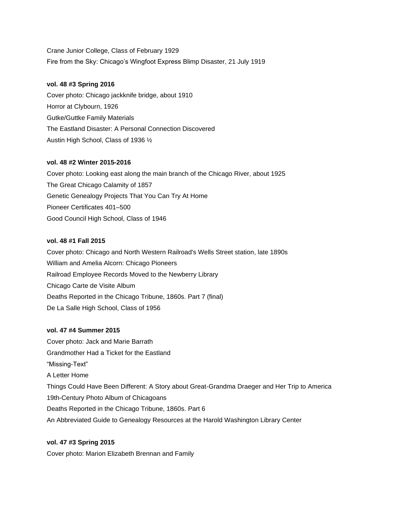Crane Junior College, Class of February 1929 Fire from the Sky: Chicago's Wingfoot Express Blimp Disaster, 21 July 1919

### **vol. 48 #3 Spring 2016**

Cover photo: Chicago jackknife bridge, about 1910 Horror at Clybourn, 1926 Gutke/Guttke Family Materials The Eastland Disaster: A Personal Connection Discovered Austin High School, Class of 1936 ½

### **vol. 48 #2 Winter 2015-2016**

Cover photo: Looking east along the main branch of the Chicago River, about 1925 The Great Chicago Calamity of 1857 Genetic Genealogy Projects That You Can Try At Home Pioneer Certificates 401–500 Good Council High School, Class of 1946

### **vol. 48 #1 Fall 2015**

Cover photo: Chicago and North Western Railroad's Wells Street station, late 1890s William and Amelia Alcorn: Chicago Pioneers Railroad Employee Records Moved to the Newberry Library Chicago Carte de Visite Album Deaths Reported in the Chicago Tribune, 1860s. Part 7 (final) De La Salle High School, Class of 1956

### **vol. 47 #4 Summer 2015**

Cover photo: Jack and Marie Barrath Grandmother Had a Ticket for the Eastland "Missing-Text" A Letter Home Things Could Have Been Different: A Story about Great-Grandma Draeger and Her Trip to America 19th-Century Photo Album of Chicagoans Deaths Reported in the Chicago Tribune, 1860s. Part 6 An Abbreviated Guide to Genealogy Resources at the Harold Washington Library Center

### **vol. 47 #3 Spring 2015**

Cover photo: Marion Elizabeth Brennan and Family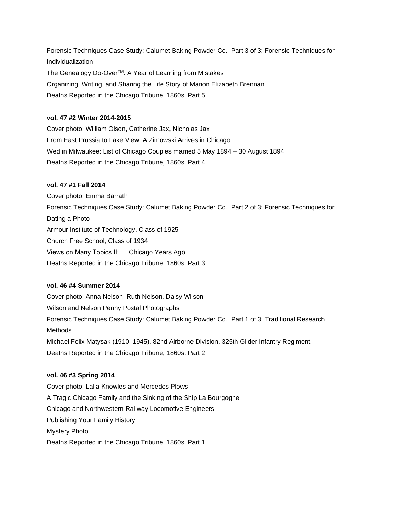Forensic Techniques Case Study: Calumet Baking Powder Co. Part 3 of 3: Forensic Techniques for Individualization The Genealogy Do-Over™: A Year of Learning from Mistakes Organizing, Writing, and Sharing the Life Story of Marion Elizabeth Brennan Deaths Reported in the Chicago Tribune, 1860s. Part 5

### **vol. 47 #2 Winter 2014-2015**

Cover photo: William Olson, Catherine Jax, Nicholas Jax From East Prussia to Lake View: A Zimowski Arrives in Chicago Wed in Milwaukee: List of Chicago Couples married 5 May 1894 – 30 August 1894 Deaths Reported in the Chicago Tribune, 1860s. Part 4

### **vol. 47 #1 Fall 2014**

Cover photo: Emma Barrath Forensic Techniques Case Study: Calumet Baking Powder Co. Part 2 of 3: Forensic Techniques for Dating a Photo Armour Institute of Technology, Class of 1925 Church Free School, Class of 1934 Views on Many Topics II: … Chicago Years Ago Deaths Reported in the Chicago Tribune, 1860s. Part 3

### **vol. 46 #4 Summer 2014**

Cover photo: Anna Nelson, Ruth Nelson, Daisy Wilson Wilson and Nelson Penny Postal Photographs Forensic Techniques Case Study: Calumet Baking Powder Co. Part 1 of 3: Traditional Research **Methods** Michael Felix Matysak (1910–1945), 82nd Airborne Division, 325th Glider Infantry Regiment Deaths Reported in the Chicago Tribune, 1860s. Part 2

#### **vol. 46 #3 Spring 2014**

Cover photo: Lalla Knowles and Mercedes Plows A Tragic Chicago Family and the Sinking of the Ship La Bourgogne Chicago and Northwestern Railway Locomotive Engineers Publishing Your Family History Mystery Photo Deaths Reported in the Chicago Tribune, 1860s. Part 1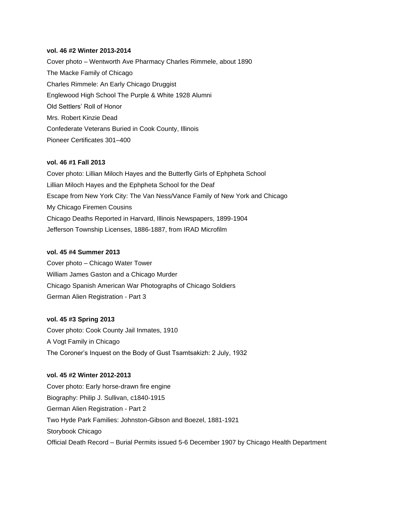### **vol. 46 #2 Winter 2013-2014**

Cover photo – Wentworth Ave Pharmacy Charles Rimmele, about 1890 The Macke Family of Chicago Charles Rimmele: An Early Chicago Druggist Englewood High School The Purple & White 1928 Alumni Old Settlers' Roll of Honor Mrs. Robert Kinzie Dead Confederate Veterans Buried in Cook County, Illinois Pioneer Certificates 301–400

### **vol. 46 #1 Fall 2013**

Cover photo: Lillian Miloch Hayes and the Butterfly Girls of Ephpheta School Lillian Miloch Hayes and the Ephpheta School for the Deaf Escape from New York City: The Van Ness/Vance Family of New York and Chicago My Chicago Firemen Cousins Chicago Deaths Reported in Harvard, Illinois Newspapers, 1899-1904 Jefferson Township Licenses, 1886-1887, from IRAD Microfilm

#### **vol. 45 #4 Summer 2013**

Cover photo – Chicago Water Tower William James Gaston and a Chicago Murder Chicago Spanish American War Photographs of Chicago Soldiers German Alien Registration - Part 3

#### **vol. 45 #3 Spring 2013**

Cover photo: Cook County Jail Inmates, 1910 A Vogt Family in Chicago The Coroner's Inquest on the Body of Gust Tsamtsakizh: 2 July, 1932

### **vol. 45 #2 Winter 2012-2013**

Cover photo: Early horse-drawn fire engine Biography: Philip J. Sullivan, c1840-1915 German Alien Registration - Part 2 Two Hyde Park Families: Johnston-Gibson and Boezel, 1881-1921 Storybook Chicago Official Death Record – Burial Permits issued 5-6 December 1907 by Chicago Health Department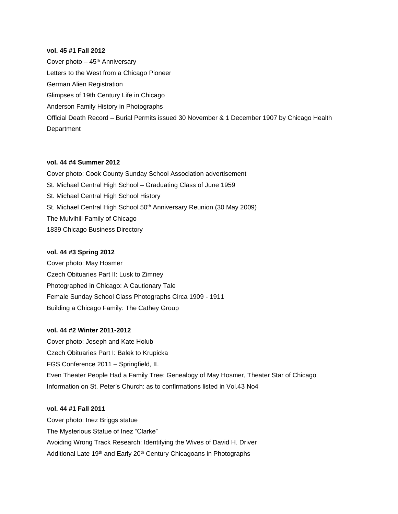### **vol. 45 #1 Fall 2012**

Cover photo  $-45$ <sup>th</sup> Anniversary Letters to the West from a Chicago Pioneer German Alien Registration Glimpses of 19th Century Life in Chicago Anderson Family History in Photographs Official Death Record – Burial Permits issued 30 November & 1 December 1907 by Chicago Health **Department** 

### **vol. 44 #4 Summer 2012**

Cover photo: Cook County Sunday School Association advertisement St. Michael Central High School – Graduating Class of June 1959 St. Michael Central High School History St. Michael Central High School 50<sup>th</sup> Anniversary Reunion (30 May 2009) The Mulvihill Family of Chicago 1839 Chicago Business Directory

#### **vol. 44 #3 Spring 2012**

Cover photo: May Hosmer Czech Obituaries Part II: Lusk to Zimney Photographed in Chicago: A Cautionary Tale Female Sunday School Class Photographs Circa 1909 - 1911 Building a Chicago Family: The Cathey Group

### **vol. 44 #2 Winter 2011-2012**

Cover photo: Joseph and Kate Holub Czech Obituaries Part I: Balek to Krupicka FGS Conference 2011 – Springfield, IL Even Theater People Had a Family Tree: Genealogy of May Hosmer, Theater Star of Chicago Information on St. Peter's Church: as to confirmations listed in Vol.43 No4

#### **vol. 44 #1 Fall 2011**

Cover photo: Inez Briggs statue The Mysterious Statue of Inez "Clarke" Avoiding Wrong Track Research: Identifying the Wives of David H. Driver Additional Late 19<sup>th</sup> and Early 20<sup>th</sup> Century Chicagoans in Photographs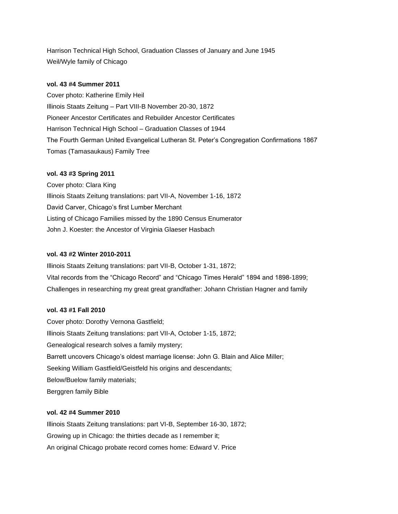Harrison Technical High School, Graduation Classes of January and June 1945 Weil/Wyle family of Chicago

### **vol. 43 #4 Summer 2011**

Cover photo: Katherine Emily Heil Illinois Staats Zeitung – Part VIII-B November 20-30, 1872 Pioneer Ancestor Certificates and Rebuilder Ancestor Certificates Harrison Technical High School – Graduation Classes of 1944 The Fourth German United Evangelical Lutheran St. Peter's Congregation Confirmations 1867 Tomas (Tamasaukaus) Family Tree

### **vol. 43 #3 Spring 2011**

Cover photo: Clara King Illinois Staats Zeitung translations: part VII-A, November 1-16, 1872 David Carver, Chicago's first Lumber Merchant Listing of Chicago Families missed by the 1890 Census Enumerator John J. Koester: the Ancestor of Virginia Glaeser Hasbach

### **vol. 43 #2 Winter 2010-2011**

Illinois Staats Zeitung translations: part VII-B, October 1-31, 1872; Vital records from the "Chicago Record" and "Chicago Times Herald" 1894 and 1898-1899; Challenges in researching my great great grandfather: Johann Christian Hagner and family

### **vol. 43 #1 Fall 2010**

Cover photo: Dorothy Vernona Gastfield; Illinois Staats Zeitung translations: part VII-A, October 1-15, 1872; Genealogical research solves a family mystery; Barrett uncovers Chicago's oldest marriage license: John G. Blain and Alice Miller; Seeking William Gastfield/Geistfeld his origins and descendants; Below/Buelow family materials; Berggren family Bible

### **vol. 42 #4 Summer 2010**

Illinois Staats Zeitung translations: part VI-B, September 16-30, 1872; Growing up in Chicago: the thirties decade as I remember it; An original Chicago probate record comes home: Edward V. Price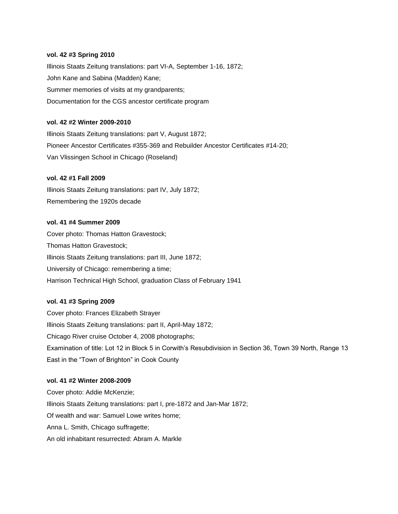#### **vol. 42 #3 Spring 2010**

Illinois Staats Zeitung translations: part VI-A, September 1-16, 1872; John Kane and Sabina (Madden) Kane; Summer memories of visits at my grandparents; Documentation for the CGS ancestor certificate program

### **vol. 42 #2 Winter 2009-2010**

Illinois Staats Zeitung translations: part V, August 1872; Pioneer Ancestor Certificates #355-369 and Rebuilder Ancestor Certificates #14-20; Van Vlissingen School in Chicago (Roseland)

#### **vol. 42 #1 Fall 2009**

Illinois Staats Zeitung translations: part IV, July 1872; Remembering the 1920s decade

### **vol. 41 #4 Summer 2009**

Cover photo: Thomas Hatton Gravestock; Thomas Hatton Gravestock; Illinois Staats Zeitung translations: part III, June 1872; University of Chicago: remembering a time; Harrison Technical High School, graduation Class of February 1941

### **vol. 41 #3 Spring 2009**

Cover photo: Frances Elizabeth Strayer Illinois Staats Zeitung translations: part II, April-May 1872; Chicago River cruise October 4, 2008 photographs; Examination of title: Lot 12 in Block 5 in Corwith's Resubdivision in Section 36, Town 39 North, Range 13 East in the "Town of Brighton" in Cook County

### **vol. 41 #2 Winter 2008-2009**

Cover photo: Addie McKenzie; Illinois Staats Zeitung translations: part I, pre-1872 and Jan-Mar 1872; Of wealth and war: Samuel Lowe writes home; Anna L. Smith, Chicago suffragette; An old inhabitant resurrected: Abram A. Markle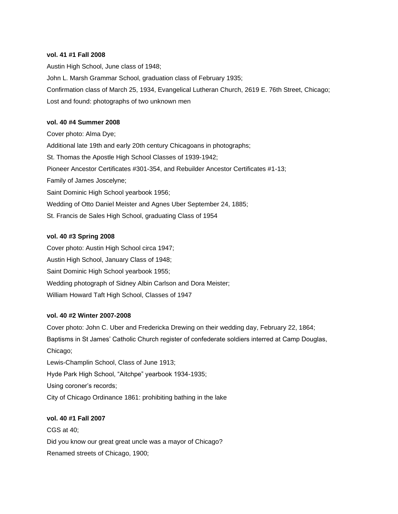### **vol. 41 #1 Fall 2008**

Austin High School, June class of 1948; John L. Marsh Grammar School, graduation class of February 1935; Confirmation class of March 25, 1934, Evangelical Lutheran Church, 2619 E. 76th Street, Chicago; Lost and found: photographs of two unknown men

#### **vol. 40 #4 Summer 2008**

Cover photo: Alma Dye; Additional late 19th and early 20th century Chicagoans in photographs; St. Thomas the Apostle High School Classes of 1939-1942; Pioneer Ancestor Certificates #301-354, and Rebuilder Ancestor Certificates #1-13; Family of James Joscelyne; Saint Dominic High School yearbook 1956; Wedding of Otto Daniel Meister and Agnes Uber September 24, 1885; St. Francis de Sales High School, graduating Class of 1954

### **vol. 40 #3 Spring 2008**

Cover photo: Austin High School circa 1947; Austin High School, January Class of 1948; Saint Dominic High School yearbook 1955; Wedding photograph of Sidney Albin Carlson and Dora Meister; William Howard Taft High School, Classes of 1947

#### **vol. 40 #2 Winter 2007-2008**

Cover photo: John C. Uber and Fredericka Drewing on their wedding day, February 22, 1864; Baptisms in St James' Catholic Church register of confederate soldiers interred at Camp Douglas, Chicago;

Lewis-Champlin School, Class of June 1913; Hyde Park High School, "Aitchpe" yearbook 1934-1935; Using coroner's records; City of Chicago Ordinance 1861: prohibiting bathing in the lake

### **vol. 40 #1 Fall 2007**

CGS at 40; Did you know our great great uncle was a mayor of Chicago? Renamed streets of Chicago, 1900;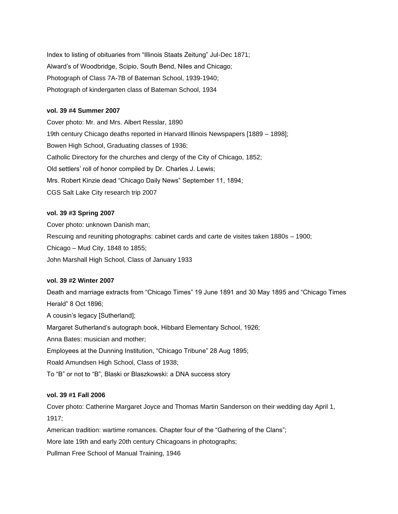Index to listing of obituaries from "Illinois Staats Zeitung" Jul-Dec 1871; Alward's of Woodbridge, Scipio, South Bend, Niles and Chicago; Photograph of Class 7A-7B of Bateman School, 1939-1940; Photograph of kindergarten class of Bateman School, 1934

### **vol. 39 #4 Summer 2007**

Cover photo: Mr. and Mrs. Albert Resslar, 1890 19th century Chicago deaths reported in Harvard Illinois Newspapers [1889 – 1898]; Bowen High School, Graduating classes of 1936; Catholic Directory for the churches and clergy of the City of Chicago, 1852; Old settlers' roll of honor compiled by Dr. Charles J. Lewis; Mrs. Robert Kinzie dead "Chicago Daily News" September 11, 1894; CGS Salt Lake City research trip 2007

#### **vol. 39 #3 Spring 2007**

Cover photo: unknown Danish man; Rescuing and reuniting photographs: cabinet cards and carte de visites taken 1880s – 1900; Chicago – Mud City, 1848 to 1855; John Marshall High School, Class of January 1933

#### **vol. 39 #2 Winter 2007**

Death and marriage extracts from "Chicago Times" 19 June 1891 and 30 May 1895 and "Chicago Times Herald" 8 Oct 1896; A cousin's legacy [Sutherland]; Margaret Sutherland's autograph book, Hibbard Elementary School, 1926; Anna Bates: musician and mother; Employees at the Dunning Institution, "Chicago Tribune" 28 Aug 1895; Roald Amundsen High School, Class of 1938; To "B" or not to "B", Blaski or Blaszkowski: a DNA success story

### **vol. 39 #1 Fall 2006**

Cover photo: Catherine Margaret Joyce and Thomas Martin Sanderson on their wedding day April 1, 1917;

American tradition: wartime romances. Chapter four of the "Gathering of the Clans";

More late 19th and early 20th century Chicagoans in photographs;

Pullman Free School of Manual Training, 1946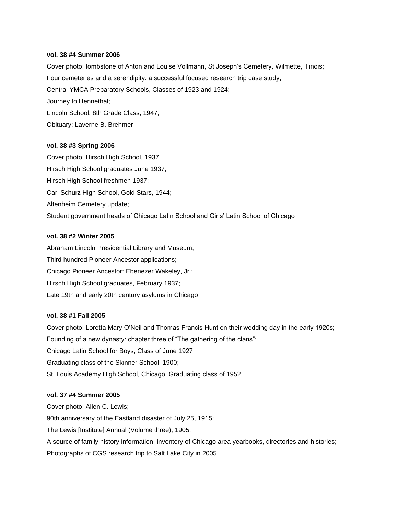#### **vol. 38 #4 Summer 2006**

Cover photo: tombstone of Anton and Louise Vollmann, St Joseph's Cemetery, Wilmette, Illinois; Four cemeteries and a serendipity: a successful focused research trip case study; Central YMCA Preparatory Schools, Classes of 1923 and 1924; Journey to Hennethal; Lincoln School, 8th Grade Class, 1947; Obituary: Laverne B. Brehmer

#### **vol. 38 #3 Spring 2006**

Cover photo: Hirsch High School, 1937; Hirsch High School graduates June 1937; Hirsch High School freshmen 1937; Carl Schurz High School, Gold Stars, 1944; Altenheim Cemetery update; Student government heads of Chicago Latin School and Girls' Latin School of Chicago

#### **vol. 38 #2 Winter 2005**

Abraham Lincoln Presidential Library and Museum; Third hundred Pioneer Ancestor applications; Chicago Pioneer Ancestor: Ebenezer Wakeley, Jr.; Hirsch High School graduates, February 1937; Late 19th and early 20th century asylums in Chicago

#### **vol. 38 #1 Fall 2005**

Cover photo: Loretta Mary O'Neil and Thomas Francis Hunt on their wedding day in the early 1920s; Founding of a new dynasty: chapter three of "The gathering of the clans"; Chicago Latin School for Boys, Class of June 1927; Graduating class of the Skinner School, 1900; St. Louis Academy High School, Chicago, Graduating class of 1952

#### **vol. 37 #4 Summer 2005**

Cover photo: Allen C. Lewis; 90th anniversary of the Eastland disaster of July 25, 1915; The Lewis [Institute] Annual (Volume three), 1905; A source of family history information: inventory of Chicago area yearbooks, directories and histories; Photographs of CGS research trip to Salt Lake City in 2005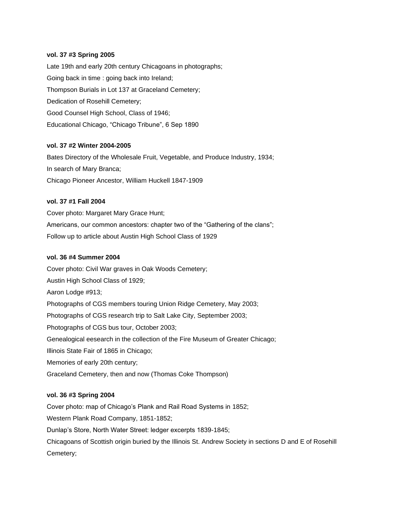### **vol. 37 #3 Spring 2005**

Late 19th and early 20th century Chicagoans in photographs; Going back in time : going back into Ireland; Thompson Burials in Lot 137 at Graceland Cemetery; Dedication of Rosehill Cemetery; Good Counsel High School, Class of 1946; Educational Chicago, "Chicago Tribune", 6 Sep 1890

### **vol. 37 #2 Winter 2004-2005**

Bates Directory of the Wholesale Fruit, Vegetable, and Produce Industry, 1934; In search of Mary Branca; Chicago Pioneer Ancestor, William Huckell 1847-1909

### **vol. 37 #1 Fall 2004**

Cover photo: Margaret Mary Grace Hunt; Americans, our common ancestors: chapter two of the "Gathering of the clans"; Follow up to article about Austin High School Class of 1929

### **vol. 36 #4 Summer 2004**

Cover photo: Civil War graves in Oak Woods Cemetery; Austin High School Class of 1929; Aaron Lodge #913; Photographs of CGS members touring Union Ridge Cemetery, May 2003; Photographs of CGS research trip to Salt Lake City, September 2003; Photographs of CGS bus tour, October 2003; Genealogical eesearch in the collection of the Fire Museum of Greater Chicago; Illinois State Fair of 1865 in Chicago; Memories of early 20th century; Graceland Cemetery, then and now (Thomas Coke Thompson)

### **vol. 36 #3 Spring 2004**

Cover photo: map of Chicago's Plank and Rail Road Systems in 1852; Western Plank Road Company, 1851-1852; Dunlap's Store, North Water Street: ledger excerpts 1839-1845; Chicagoans of Scottish origin buried by the Illinois St. Andrew Society in sections D and E of Rosehill Cemetery;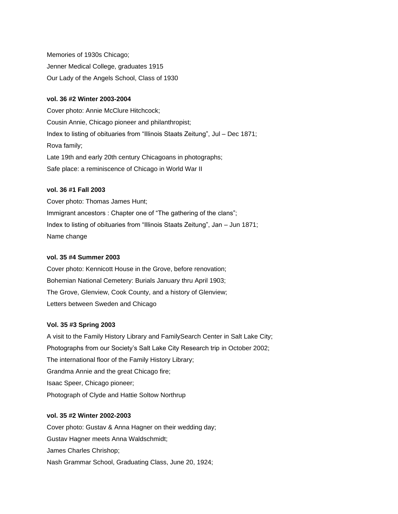Memories of 1930s Chicago; Jenner Medical College, graduates 1915 Our Lady of the Angels School, Class of 1930

#### **vol. 36 #2 Winter 2003-2004**

Cover photo: Annie McClure Hitchcock; Cousin Annie, Chicago pioneer and philanthropist; Index to listing of obituaries from "Illinois Staats Zeitung", Jul – Dec 1871; Rova family; Late 19th and early 20th century Chicagoans in photographs; Safe place: a reminiscence of Chicago in World War II

### **vol. 36 #1 Fall 2003**

Cover photo: Thomas James Hunt; Immigrant ancestors : Chapter one of "The gathering of the clans"; Index to listing of obituaries from "Illinois Staats Zeitung", Jan – Jun 1871; Name change

### **vol. 35 #4 Summer 2003**

Cover photo: Kennicott House in the Grove, before renovation; Bohemian National Cemetery: Burials January thru April 1903; The Grove, Glenview, Cook County, and a history of Glenview; Letters between Sweden and Chicago

### **Vol. 35 #3 Spring 2003**

A visit to the Family History Library and FamilySearch Center in Salt Lake City; Photographs from our Society's Salt Lake City Research trip in October 2002; The international floor of the Family History Library; Grandma Annie and the great Chicago fire; Isaac Speer, Chicago pioneer; Photograph of Clyde and Hattie Soltow Northrup

### **vol. 35 #2 Winter 2002-2003**

Cover photo: Gustav & Anna Hagner on their wedding day; Gustav Hagner meets Anna Waldschmidt; James Charles Chrishop; Nash Grammar School, Graduating Class, June 20, 1924;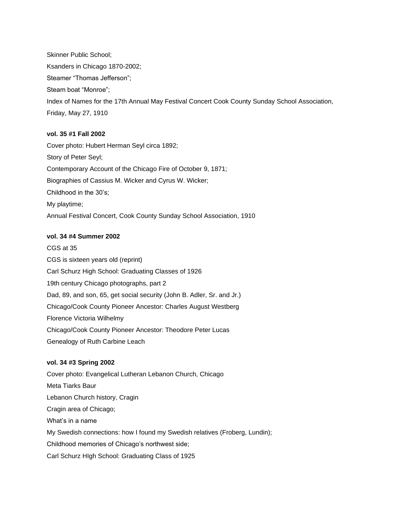Skinner Public School; Ksanders in Chicago 1870-2002; Steamer "Thomas Jefferson"; Steam boat "Monroe"; Index of Names for the 17th Annual May Festival Concert Cook County Sunday School Association, Friday, May 27, 1910

### **vol. 35 #1 Fall 2002**

Cover photo: Hubert Herman Seyl circa 1892; Story of Peter Seyl; Contemporary Account of the Chicago Fire of October 9, 1871; Biographies of Cassius M. Wicker and Cyrus W. Wicker; Childhood in the 30's; My playtime; Annual Festival Concert, Cook County Sunday School Association, 1910

### **vol. 34 #4 Summer 2002**

CGS at 35 CGS is sixteen years old (reprint) Carl Schurz High School: Graduating Classes of 1926 19th century Chicago photographs, part 2 Dad, 89, and son, 65, get social security (John B. Adler, Sr. and Jr.) Chicago/Cook County Pioneer Ancestor: Charles August Westberg Florence Victoria Wilhelmy Chicago/Cook County Pioneer Ancestor: Theodore Peter Lucas Genealogy of Ruth Carbine Leach

### **vol. 34 #3 Spring 2002**

Cover photo: Evangelical Lutheran Lebanon Church, Chicago Meta Tiarks Baur Lebanon Church history, Cragin Cragin area of Chicago; What's in a name My Swedish connections: how I found my Swedish relatives (Froberg, Lundin); Childhood memories of Chicago's northwest side; Carl Schurz HIgh School: Graduating Class of 1925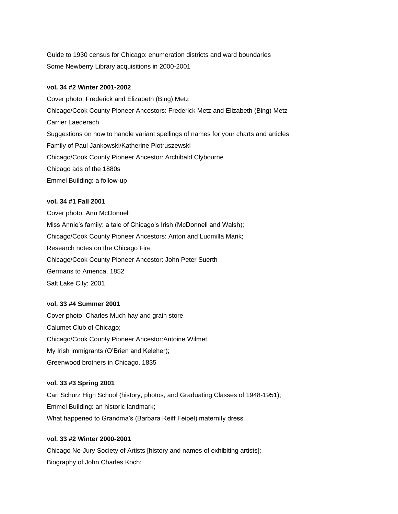Guide to 1930 census for Chicago: enumeration districts and ward boundaries Some Newberry Library acquisitions in 2000-2001

### **vol. 34 #2 Winter 2001-2002**

Cover photo: Frederick and Elizabeth (Bing) Metz Chicago/Cook County Pioneer Ancestors: Frederick Metz and Elizabeth (Bing) Metz Carrier Laederach Suggestions on how to handle variant spellings of names for your charts and articles Family of Paul Jankowski/Katherine Piotruszewski Chicago/Cook County Pioneer Ancestor: Archibald Clybourne Chicago ads of the 1880s Emmel Building: a follow-up

### **vol. 34 #1 Fall 2001**

Cover photo: Ann McDonnell Miss Annie's family: a tale of Chicago's Irish (McDonnell and Walsh); Chicago/Cook County Pioneer Ancestors: Anton and Ludmilla Marik; Research notes on the Chicago Fire Chicago/Cook County Pioneer Ancestor: John Peter Suerth Germans to America, 1852 Salt Lake City: 2001

### **vol. 33 #4 Summer 2001**

Cover photo: Charles Much hay and grain store Calumet Club of Chicago; Chicago/Cook County Pioneer Ancestor:Antoine Wilmet My Irish immigrants (O'Brien and Keleher); Greenwood brothers in Chicago, 1835

#### **vol. 33 #3 Spring 2001**

Carl Schurz High School (history, photos, and Graduating Classes of 1948-1951); Emmel Building: an historic landmark; What happened to Grandma's (Barbara Reiff Feipel) maternity dress

### **vol. 33 #2 Winter 2000-2001**

Chicago No-Jury Society of Artists [history and names of exhibiting artists]; Biography of John Charles Koch;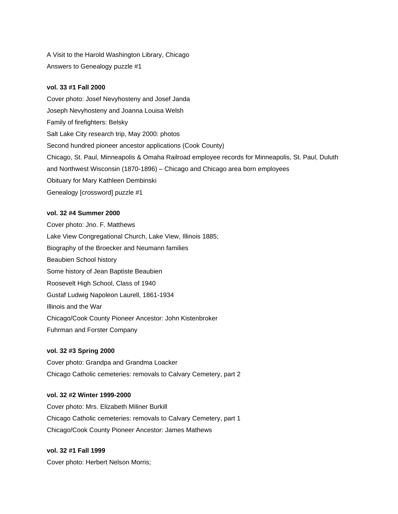A Visit to the Harold Washington Library, Chicago Answers to Genealogy puzzle #1

### **vol. 33 #1 Fall 2000**

Cover photo: Josef Nevyhosteny and Josef Janda Joseph Nevyhosteny and Joanna Louisa Welsh Family of firefighters: Belsky Salt Lake City research trip, May 2000: photos Second hundred pioneer ancestor applications (Cook County) Chicago, St. Paul, Minneapolis & Omaha Railroad employee records for Minneapolis, St. Paul, Duluth and Northwest Wisconsin (1870-1896) – Chicago and Chicago area born employees Obituary for Mary Kathleen Dembinski Genealogy [crossword] puzzle #1

### **vol. 32 #4 Summer 2000**

Cover photo: Jno. F. Matthews Lake View Congregational Church, Lake View, Illinois 1885; Biography of the Broecker and Neumann families Beaubien School history Some history of Jean Baptiste Beaubien Roosevelt High School, Class of 1940 Gustaf Ludwig Napoleon Laurell, 1861-1934 Illinois and the War Chicago/Cook County Pioneer Ancestor: John Kistenbroker Fuhrman and Forster Company

### **vol. 32 #3 Spring 2000**

Cover photo: Grandpa and Grandma Loacker Chicago Catholic cemeteries: removals to Calvary Cemetery, part 2

### **vol. 32 #2 Winter 1999-2000**

Cover photo: Mrs. Elizabeth Miliner Burkill Chicago Catholic cemeteries: removals to Calvary Cemetery, part 1 Chicago/Cook County Pioneer Ancestor: James Mathews

### **vol. 32 #1 Fall 1999**

Cover photo: Herbert Nelson Morris;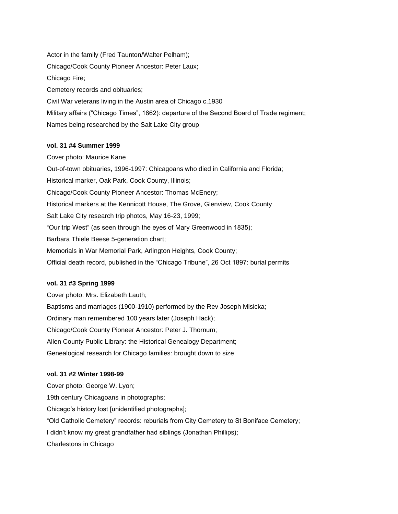Actor in the family (Fred Taunton/Walter Pelham); Chicago/Cook County Pioneer Ancestor: Peter Laux; Chicago Fire; Cemetery records and obituaries; Civil War veterans living in the Austin area of Chicago c.1930 Military affairs ("Chicago Times", 1862): departure of the Second Board of Trade regiment; Names being researched by the Salt Lake City group

#### **vol. 31 #4 Summer 1999**

Cover photo: Maurice Kane Out-of-town obituaries, 1996-1997: Chicagoans who died in California and Florida; Historical marker, Oak Park, Cook County, Illinois; Chicago/Cook County Pioneer Ancestor: Thomas McEnery; Historical markers at the Kennicott House, The Grove, Glenview, Cook County Salt Lake City research trip photos, May 16-23, 1999; "Our trip West" (as seen through the eyes of Mary Greenwood in 1835); Barbara Thiele Beese 5-generation chart; Memorials in War Memorial Park, Arlington Heights, Cook County; Official death record, published in the "Chicago Tribune", 26 Oct 1897: burial permits

#### **vol. 31 #3 Spring 1999**

Cover photo: Mrs. Elizabeth Lauth; Baptisms and marriages (1900-1910) performed by the Rev Joseph Misicka; Ordinary man remembered 100 years later (Joseph Hack); Chicago/Cook County Pioneer Ancestor: Peter J. Thornum; Allen County Public Library: the Historical Genealogy Department; Genealogical research for Chicago families: brought down to size

#### **vol. 31 #2 Winter 1998-99**

Cover photo: George W. Lyon; 19th century Chicagoans in photographs; Chicago's history lost [unidentified photographs]; "Old Catholic Cemetery" records: reburials from City Cemetery to St Boniface Cemetery; I didn't know my great grandfather had siblings (Jonathan Phillips); Charlestons in Chicago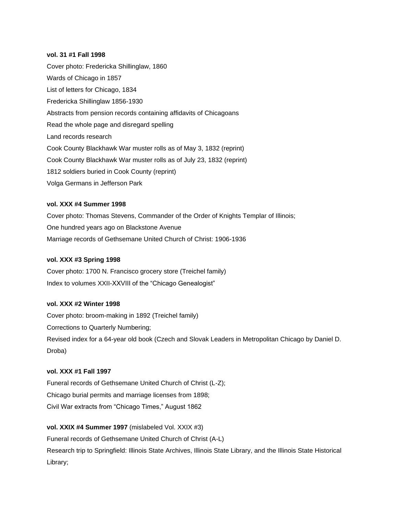#### **vol. 31 #1 Fall 1998**

Cover photo: Fredericka Shillinglaw, 1860 Wards of Chicago in 1857 List of letters for Chicago, 1834 Fredericka Shillinglaw 1856-1930 Abstracts from pension records containing affidavits of Chicagoans Read the whole page and disregard spelling Land records research Cook County Blackhawk War muster rolls as of May 3, 1832 (reprint) Cook County Blackhawk War muster rolls as of July 23, 1832 (reprint) 1812 soldiers buried in Cook County (reprint) Volga Germans in Jefferson Park

### **vol. XXX #4 Summer 1998**

Cover photo: Thomas Stevens, Commander of the Order of Knights Templar of Illinois; One hundred years ago on Blackstone Avenue Marriage records of Gethsemane United Church of Christ: 1906-1936

### **vol. XXX #3 Spring 1998**

Cover photo: 1700 N. Francisco grocery store (Treichel family) Index to volumes XXII-XXVIII of the "Chicago Genealogist"

## **vol. XXX #2 Winter 1998**

Cover photo: broom-making in 1892 (Treichel family) Corrections to Quarterly Numbering; Revised index for a 64-year old book (Czech and Slovak Leaders in Metropolitan Chicago by Daniel D. Droba)

### **vol. XXX #1 Fall 1997**

Funeral records of Gethsemane United Church of Christ (L-Z); Chicago burial permits and marriage licenses from 1898; Civil War extracts from "Chicago Times," August 1862

## **vol. XXIX #4 Summer 1997** (mislabeled Vol. XXIX #3)

Funeral records of Gethsemane United Church of Christ (A-L) Research trip to Springfield: Illinois State Archives, Illinois State Library, and the Illinois State Historical Library;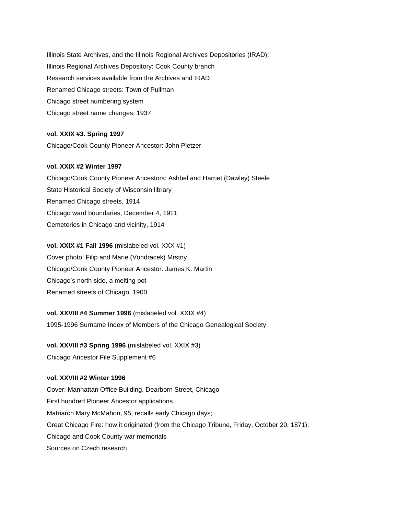Illinois State Archives, and the Illinois Regional Archives Depositories (IRAD); Illinois Regional Archives Depository: Cook County branch Research services available from the Archives and IRAD Renamed Chicago streets: Town of Pullman Chicago street numbering system Chicago street name changes, 1937

### **vol. XXIX #3. Spring 1997**

Chicago/Cook County Pioneer Ancestor: John Pletzer

### **vol. XXIX #2 Winter 1997**

Chicago/Cook County Pioneer Ancestors: Ashbel and Harriet (Dawley) Steele State Historical Society of Wisconsin library Renamed Chicago streets, 1914 Chicago ward boundaries, December 4, 1911 Cemeteries in Chicago and vicinity, 1914

### **vol. XXIX #1 Fall 1996** (mislabeled vol. XXX #1)

Cover photo: Filip and Marie (Vondracek) Mrstny Chicago/Cook County Pioneer Ancestor: James K. Martin Chicago's north side, a melting pot Renamed streets of Chicago, 1900

### **vol. XXVIII #4 Summer 1996** (mislabeled vol. XXIX #4)

1995-1996 Surname Index of Members of the Chicago Genealogical Society

### **vol. XXVIII #3 Spring 1996** (mislabeled vol. XXIX #3)

Chicago Ancestor File Supplement #6

### **vol. XXVIII #2 Winter 1996**

Cover: Manhattan Office Building, Dearborn Street, Chicago First hundred Pioneer Ancestor applications Matriarch Mary McMahon, 95, recalls early Chicago days; Great Chicago Fire: how it originated (from the Chicago Tribune, Friday, October 20, 1871); Chicago and Cook County war memorials Sources on Czech research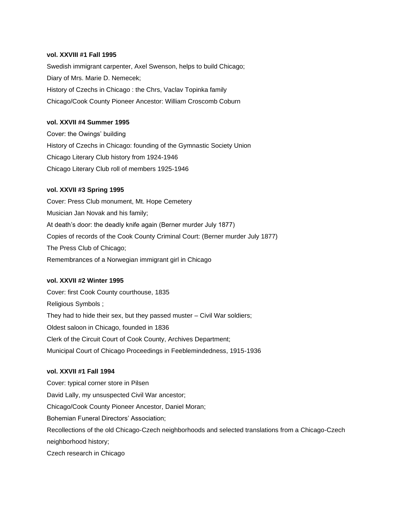### **vol. XXVIII #1 Fall 1995**

Swedish immigrant carpenter, Axel Swenson, helps to build Chicago; Diary of Mrs. Marie D. Nemecek; History of Czechs in Chicago : the Chrs, Vaclav Topinka family Chicago/Cook County Pioneer Ancestor: William Croscomb Coburn

### **vol. XXVII #4 Summer 1995**

Cover: the Owings' building History of Czechs in Chicago: founding of the Gymnastic Society Union Chicago Literary Club history from 1924-1946 Chicago Literary Club roll of members 1925-1946

#### **vol. XXVII #3 Spring 1995**

Cover: Press Club monument, Mt. Hope Cemetery Musician Jan Novak and his family; At death's door: the deadly knife again (Berner murder July 1877) Copies of records of the Cook County Criminal Court: (Berner murder July 1877) The Press Club of Chicago; Remembrances of a Norwegian immigrant girl in Chicago

#### **vol. XXVII #2 Winter 1995**

Cover: first Cook County courthouse, 1835 Religious Symbols ; They had to hide their sex, but they passed muster – Civil War soldiers; Oldest saloon in Chicago, founded in 1836 Clerk of the Circuit Court of Cook County, Archives Department; Municipal Court of Chicago Proceedings in Feeblemindedness, 1915-1936

### **vol. XXVII #1 Fall 1994**

Cover: typical corner store in Pilsen David Lally, my unsuspected Civil War ancestor; Chicago/Cook County Pioneer Ancestor, Daniel Moran; Bohemian Funeral Directors' Association; Recollections of the old Chicago-Czech neighborhoods and selected translations from a Chicago-Czech neighborhood history;

Czech research in Chicago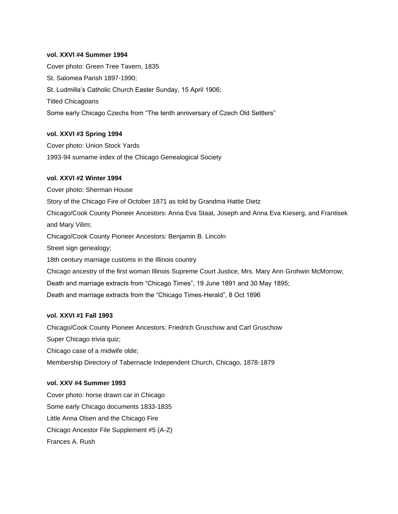### **vol. XXVI #4 Summer 1994**

Cover photo: Green Tree Tavern, 1835 St. Salomea Parish 1897-1990; St. Ludmilla's Catholic Church Easter Sunday, 15 April 1906; Titled Chicagoans Some early Chicago Czechs from "The tenth anniversary of Czech Old Settlers"

### **vol. XXVI #3 Spring 1994**

Cover photo: Union Stock Yards 1993-94 surname index of the Chicago Genealogical Society

#### **vol. XXVI #2 Winter 1994**

Cover photo: Sherman House Story of the Chicago Fire of October 1871 as told by Grandma Hattie Dietz Chicago/Cook County Pioneer Ancestors: Anna Eva Staat, Joseph and Anna Eva Kieserg, and Frantisek and Mary Vilim; Chicago/Cook County Pioneer Ancestors: Benjamin B. Lincoln Street sign genealogy; 18th century marriage customs in the Illinois country Chicago ancestry of the first woman Illinois Supreme Court Justice, Mrs. Mary Ann Grohwin McMorrow; Death and marriage extracts from "Chicago Times", 19 June 1891 and 30 May 1895; Death and marriage extracts from the "Chicago Times-Herald", 8 Oct 1896

### **vol. XXVI #1 Fall 1993**

Chicago/Cook County Pioneer Ancestors: Friedrich Gruschow and Carl Gruschow Super Chicago trivia quiz; Chicago case of a midwife olde; Membership Directory of Tabernacle Independent Church, Chicago, 1878-1879

## **vol. XXV #4 Summer 1993**

Cover photo: horse drawn car in Chicago Some early Chicago documents 1833-1835 Little Anna Olsen and the Chicago Fire Chicago Ancestor File Supplement #5 (A-Z) Frances A. Rush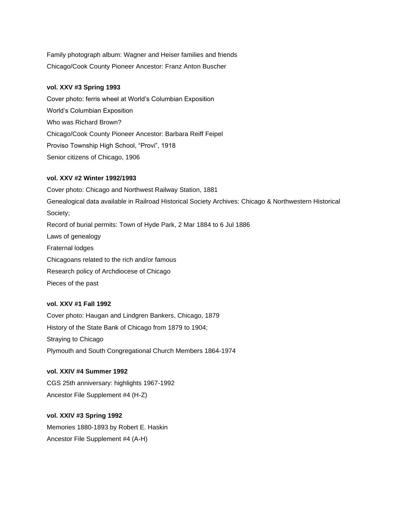Family photograph album: Wagner and Heiser families and friends Chicago/Cook County Pioneer Ancestor: Franz Anton Buscher

### **vol. XXV #3 Spring 1993**

Cover photo: ferris wheel at World's Columbian Exposition World's Columbian Exposition Who was Richard Brown? Chicago/Cook County Pioneer Ancestor: Barbara Reiff Feipel Proviso Township High School, "Provi", 1918 Senior citizens of Chicago, 1906

### **vol. XXV #2 Winter 1992/1993**

Cover photo: Chicago and Northwest Railway Station, 1881 Genealogical data available in Railroad Historical Society Archives: Chicago & Northwestern Historical Society; Record of burial permits: Town of Hyde Park, 2 Mar 1884 to 6 Jul 1886 Laws of genealogy Fraternal lodges Chicagoans related to the rich and/or famous Research policy of Archdiocese of Chicago Pieces of the past

### **vol. XXV #1 Fall 1992**

Cover photo: Haugan and Lindgren Bankers, Chicago, 1879 History of the State Bank of Chicago from 1879 to 1904; Straying to Chicago Plymouth and South Congregational Church Members 1864-1974

## **vol. XXIV #4 Summer 1992**

CGS 25th anniversary: highlights 1967-1992 Ancestor File Supplement #4 (H-Z)

### **vol. XXIV #3 Spring 1992**

Memories 1880-1893 by Robert E. Haskin Ancestor File Supplement #4 (A-H)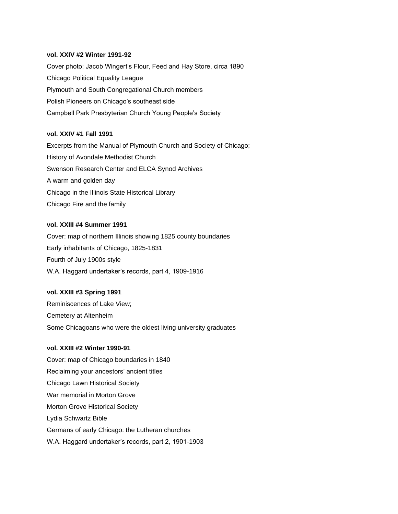#### **vol. XXIV #2 Winter 1991-92**

Cover photo: Jacob Wingert's Flour, Feed and Hay Store, circa 1890 Chicago Political Equality League Plymouth and South Congregational Church members Polish Pioneers on Chicago's southeast side Campbell Park Presbyterian Church Young People's Society

### **vol. XXIV #1 Fall 1991**

Excerpts from the Manual of Plymouth Church and Society of Chicago; History of Avondale Methodist Church Swenson Research Center and ELCA Synod Archives A warm and golden day Chicago in the Illinois State Historical Library Chicago Fire and the family

### **vol. XXIII #4 Summer 1991**

Cover: map of northern Illinois showing 1825 county boundaries Early inhabitants of Chicago, 1825-1831 Fourth of July 1900s style W.A. Haggard undertaker's records, part 4, 1909-1916

### **vol. XXIII #3 Spring 1991**

Reminiscences of Lake View; Cemetery at Altenheim Some Chicagoans who were the oldest living university graduates

#### **vol. XXIII #2 Winter 1990-91**

Cover: map of Chicago boundaries in 1840 Reclaiming your ancestors' ancient titles Chicago Lawn Historical Society War memorial in Morton Grove Morton Grove Historical Society Lydia Schwartz Bible Germans of early Chicago: the Lutheran churches W.A. Haggard undertaker's records, part 2, 1901-1903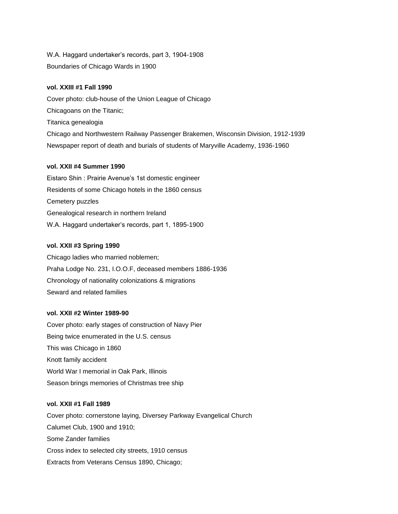W.A. Haggard undertaker's records, part 3, 1904-1908 Boundaries of Chicago Wards in 1900

### **vol. XXIII #1 Fall 1990**

Cover photo: club-house of the Union League of Chicago Chicagoans on the Titanic; Titanica genealogia Chicago and Northwestern Railway Passenger Brakemen, Wisconsin Division, 1912-1939 Newspaper report of death and burials of students of Maryville Academy, 1936-1960

### **vol. XXII #4 Summer 1990**

Eistaro Shin : Prairie Avenue's 1st domestic engineer Residents of some Chicago hotels in the 1860 census Cemetery puzzles Genealogical research in northern Ireland W.A. Haggard undertaker's records, part 1, 1895-1900

### **vol. XXII #3 Spring 1990**

Chicago ladies who married noblemen; Praha Lodge No. 231, I.O.O.F, deceased members 1886-1936 Chronology of nationality colonizations & migrations Seward and related families

### **vol. XXII #2 Winter 1989-90**

Cover photo: early stages of construction of Navy Pier Being twice enumerated in the U.S. census This was Chicago in 1860 Knott family accident World War I memorial in Oak Park, Illinois Season brings memories of Christmas tree ship

### **vol. XXII #1 Fall 1989**

Cover photo: cornerstone laying, Diversey Parkway Evangelical Church Calumet Club, 1900 and 1910; Some Zander families Cross index to selected city streets, 1910 census Extracts from Veterans Census 1890, Chicago;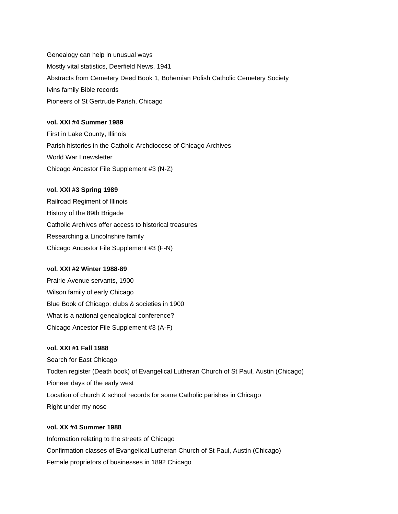Genealogy can help in unusual ways Mostly vital statistics, Deerfield News, 1941 Abstracts from Cemetery Deed Book 1, Bohemian Polish Catholic Cemetery Society Ivins family Bible records Pioneers of St Gertrude Parish, Chicago

### **vol. XXI #4 Summer 1989**

First in Lake County, Illinois Parish histories in the Catholic Archdiocese of Chicago Archives World War I newsletter Chicago Ancestor File Supplement #3 (N-Z)

### **vol. XXI #3 Spring 1989**

Railroad Regiment of Illinois History of the 89th Brigade Catholic Archives offer access to historical treasures Researching a Lincolnshire family Chicago Ancestor File Supplement #3 (F-N)

### **vol. XXI #2 Winter 1988-89**

Prairie Avenue servants, 1900 Wilson family of early Chicago Blue Book of Chicago: clubs & societies in 1900 What is a national genealogical conference? Chicago Ancestor File Supplement #3 (A-F)

### **vol. XXI #1 Fall 1988**

Search for East Chicago Todten register (Death book) of Evangelical Lutheran Church of St Paul, Austin (Chicago) Pioneer days of the early west Location of church & school records for some Catholic parishes in Chicago Right under my nose

### **vol. XX #4 Summer 1988**

Information relating to the streets of Chicago Confirmation classes of Evangelical Lutheran Church of St Paul, Austin (Chicago) Female proprietors of businesses in 1892 Chicago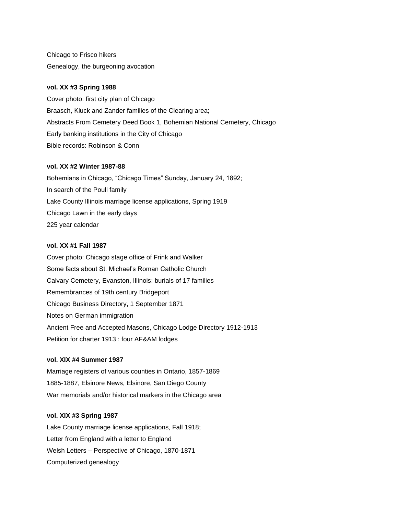Chicago to Frisco hikers Genealogy, the burgeoning avocation

### **vol. XX #3 Spring 1988**

Cover photo: first city plan of Chicago Braasch, Kluck and Zander families of the Clearing area; Abstracts From Cemetery Deed Book 1, Bohemian National Cemetery, Chicago Early banking institutions in the City of Chicago Bible records: Robinson & Conn

### **vol. XX #2 Winter 1987-88**

Bohemians in Chicago, "Chicago Times" Sunday, January 24, 1892; In search of the Poull family Lake County Illinois marriage license applications, Spring 1919 Chicago Lawn in the early days 225 year calendar

### **vol. XX #1 Fall 1987**

Cover photo: Chicago stage office of Frink and Walker Some facts about St. Michael's Roman Catholic Church Calvary Cemetery, Evanston, Illinois: burials of 17 families Remembrances of 19th century Bridgeport Chicago Business Directory, 1 September 1871 Notes on German immigration Ancient Free and Accepted Masons, Chicago Lodge Directory 1912-1913 Petition for charter 1913 : four AF&AM lodges

### **vol. XIX #4 Summer 1987**

Marriage registers of various counties in Ontario, 1857-1869 1885-1887, Elsinore News, Elsinore, San Diego County War memorials and/or historical markers in the Chicago area

### **vol. XIX #3 Spring 1987**

Lake County marriage license applications, Fall 1918; Letter from England with a letter to England Welsh Letters – Perspective of Chicago, 1870-1871 Computerized genealogy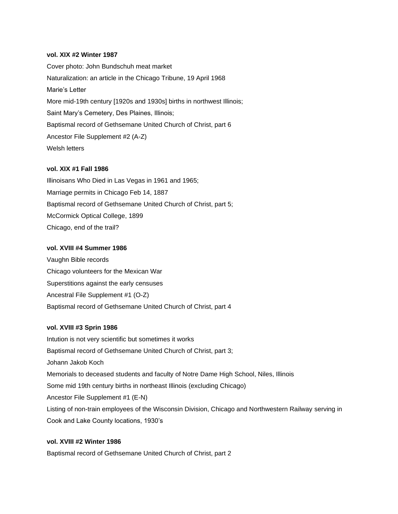#### **vol. XIX #2 Winter 1987**

Cover photo: John Bundschuh meat market Naturalization: an article in the Chicago Tribune, 19 April 1968 Marie's Letter More mid-19th century [1920s and 1930s] births in northwest Illinois; Saint Mary's Cemetery, Des Plaines, Illinois; Baptismal record of Gethsemane United Church of Christ, part 6 Ancestor File Supplement #2 (A-Z) Welsh letters

### **vol. XIX #1 Fall 1986**

Illinoisans Who Died in Las Vegas in 1961 and 1965; Marriage permits in Chicago Feb 14, 1887 Baptismal record of Gethsemane United Church of Christ, part 5; McCormick Optical College, 1899 Chicago, end of the trail?

#### **vol. XVIII #4 Summer 1986**

Vaughn Bible records Chicago volunteers for the Mexican War Superstitions against the early censuses Ancestral File Supplement #1 (O-Z) Baptismal record of Gethsemane United Church of Christ, part 4

#### **vol. XVIII #3 Sprin 1986**

Intution is not very scientific but sometimes it works Baptismal record of Gethsemane United Church of Christ, part 3; Johann Jakob Koch Memorials to deceased students and faculty of Notre Dame High School, Niles, Illinois Some mid 19th century births in northeast Illinois (excluding Chicago) Ancestor File Supplement #1 (E-N) Listing of non-train employees of the Wisconsin Division, Chicago and Northwestern Railway serving in Cook and Lake County locations, 1930's

### **vol. XVIII #2 Winter 1986**

Baptismal record of Gethsemane United Church of Christ, part 2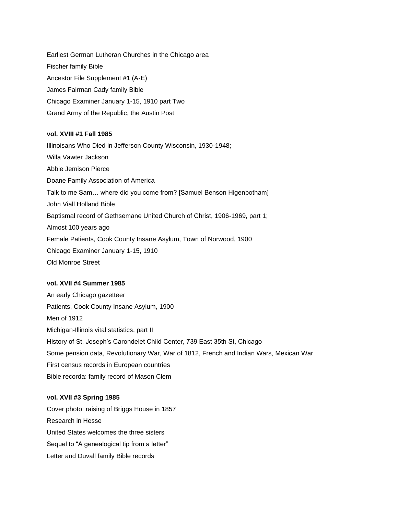Earliest German Lutheran Churches in the Chicago area Fischer family Bible Ancestor File Supplement #1 (A-E) James Fairman Cady family Bible Chicago Examiner January 1-15, 1910 part Two Grand Army of the Republic, the Austin Post

### **vol. XVIII #1 Fall 1985**

Illinoisans Who Died in Jefferson County Wisconsin, 1930-1948; Willa Vawter Jackson Abbie Jemison Pierce Doane Family Association of America Talk to me Sam… where did you come from? [Samuel Benson Higenbotham] John Viall Holland Bible Baptismal record of Gethsemane United Church of Christ, 1906-1969, part 1; Almost 100 years ago Female Patients, Cook County Insane Asylum, Town of Norwood, 1900 Chicago Examiner January 1-15, 1910 Old Monroe Street

### **vol. XVII #4 Summer 1985**

An early Chicago gazetteer Patients, Cook County Insane Asylum, 1900 Men of 1912 Michigan-Illinois vital statistics, part II History of St. Joseph's Carondelet Child Center, 739 East 35th St, Chicago Some pension data, Revolutionary War, War of 1812, French and Indian Wars, Mexican War First census records in European countries Bible recorda: family record of Mason Clem

### **vol. XVII #3 Spring 1985**

Cover photo: raising of Briggs House in 1857 Research in Hesse United States welcomes the three sisters Sequel to "A genealogical tip from a letter" Letter and Duvall family Bible records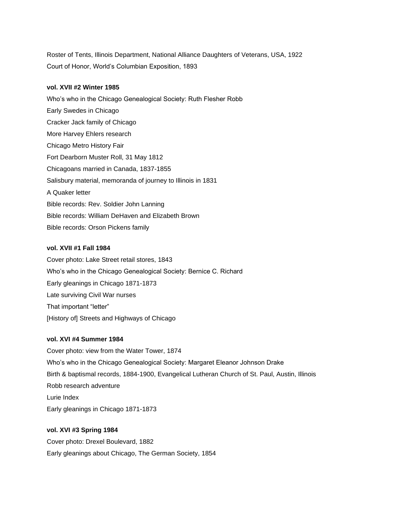Roster of Tents, Illinois Department, National Alliance Daughters of Veterans, USA, 1922 Court of Honor, World's Columbian Exposition, 1893

### **vol. XVII #2 Winter 1985**

Who's who in the Chicago Genealogical Society: Ruth Flesher Robb Early Swedes in Chicago Cracker Jack family of Chicago More Harvey Ehlers research Chicago Metro History Fair Fort Dearborn Muster Roll, 31 May 1812 Chicagoans married in Canada, 1837-1855 Salisbury material, memoranda of journey to Illinois in 1831 A Quaker letter Bible records: Rev. Soldier John Lanning Bible records: William DeHaven and Elizabeth Brown Bible records: Orson Pickens family

### **vol. XVII #1 Fall 1984**

Cover photo: Lake Street retail stores, 1843 Who's who in the Chicago Genealogical Society: Bernice C. Richard Early gleanings in Chicago 1871-1873 Late surviving Civil War nurses That important "letter" [History of] Streets and Highways of Chicago

### **vol. XVI #4 Summer 1984**

Cover photo: view from the Water Tower, 1874 Who's who in the Chicago Genealogical Society: Margaret Eleanor Johnson Drake Birth & baptismal records, 1884-1900, Evangelical Lutheran Church of St. Paul, Austin, Illinois Robb research adventure Lurie Index Early gleanings in Chicago 1871-1873

### **vol. XVI #3 Spring 1984**

Cover photo: Drexel Boulevard, 1882 Early gleanings about Chicago, The German Society, 1854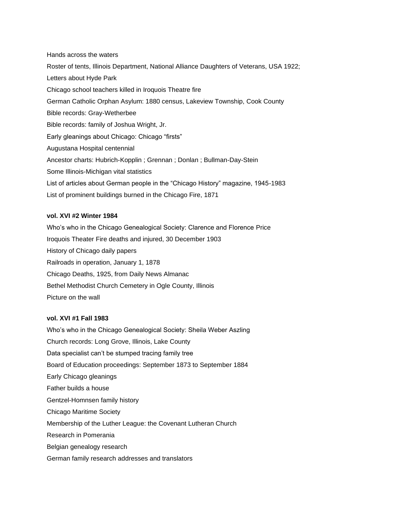Hands across the waters Roster of tents, Illinois Department, National Alliance Daughters of Veterans, USA 1922; Letters about Hyde Park Chicago school teachers killed in Iroquois Theatre fire German Catholic Orphan Asylum: 1880 census, Lakeview Township, Cook County Bible records: Gray-Wetherbee Bible records: family of Joshua Wright, Jr. Early gleanings about Chicago: Chicago "firsts" Augustana Hospital centennial Ancestor charts: Hubrich-Kopplin ; Grennan ; Donlan ; Bullman-Day-Stein Some Illinois-Michigan vital statistics List of articles about German people in the "Chicago History" magazine, 1945-1983 List of prominent buildings burned in the Chicago Fire, 1871

### **vol. XVI #2 Winter 1984**

Who's who in the Chicago Genealogical Society: Clarence and Florence Price Iroquois Theater Fire deaths and injured, 30 December 1903 History of Chicago daily papers Railroads in operation, January 1, 1878 Chicago Deaths, 1925, from Daily News Almanac Bethel Methodist Church Cemetery in Ogle County, Illinois Picture on the wall

### **vol. XVI #1 Fall 1983**

Who's who in the Chicago Genealogical Society: Sheila Weber Aszling Church records: Long Grove, Illinois, Lake County Data specialist can't be stumped tracing family tree Board of Education proceedings: September 1873 to September 1884 Early Chicago gleanings Father builds a house Gentzel-Homnsen family history Chicago Maritime Society Membership of the Luther League: the Covenant Lutheran Church Research in Pomerania Belgian genealogy research German family research addresses and translators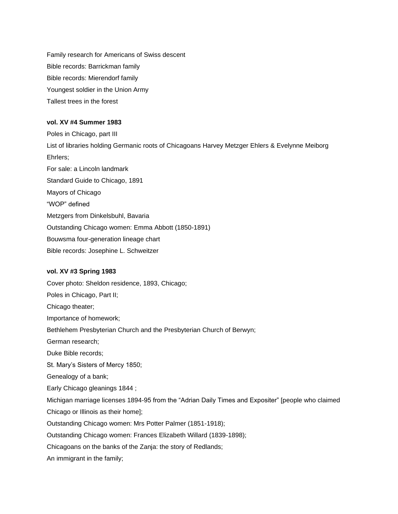Family research for Americans of Swiss descent Bible records: Barrickman family Bible records: Mierendorf family Youngest soldier in the Union Army Tallest trees in the forest

### **vol. XV #4 Summer 1983**

Poles in Chicago, part III List of libraries holding Germanic roots of Chicagoans Harvey Metzger Ehlers & Evelynne Meiborg Ehrlers; For sale: a Lincoln landmark Standard Guide to Chicago, 1891 Mayors of Chicago "WOP" defined Metzgers from Dinkelsbuhl, Bavaria Outstanding Chicago women: Emma Abbott (1850-1891) Bouwsma four-generation lineage chart Bible records: Josephine L. Schweitzer

### **vol. XV #3 Spring 1983**

Cover photo: Sheldon residence, 1893, Chicago; Poles in Chicago, Part II; Chicago theater; Importance of homework; Bethlehem Presbyterian Church and the Presbyterian Church of Berwyn; German research; Duke Bible records; St. Mary's Sisters of Mercy 1850; Genealogy of a bank; Early Chicago gleanings 1844 ; Michigan marriage licenses 1894-95 from the "Adrian Daily Times and Expositer" [people who claimed Chicago or Illinois as their home]; Outstanding Chicago women: Mrs Potter Palmer (1851-1918); Outstanding Chicago women: Frances Elizabeth Willard (1839-1898); Chicagoans on the banks of the Zanja: the story of Redlands; An immigrant in the family;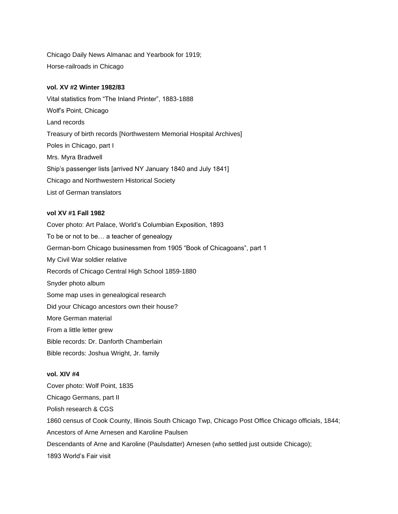Chicago Daily News Almanac and Yearbook for 1919; Horse-railroads in Chicago

### **vol. XV #2 Winter 1982/83**

Vital statistics from "The Inland Printer", 1883-1888 Wolf's Point, Chicago Land records Treasury of birth records [Northwestern Memorial Hospital Archives] Poles in Chicago, part I Mrs. Myra Bradwell Ship's passenger lists [arrived NY January 1840 and July 1841] Chicago and Northwestern Historical Society List of German translators

### **vol XV #1 Fall 1982**

Cover photo: Art Palace, World's Columbian Exposition, 1893 To be or not to be… a teacher of genealogy German-born Chicago businessmen from 1905 "Book of Chicagoans", part 1 My Civil War soldier relative Records of Chicago Central High School 1859-1880 Snyder photo album Some map uses in genealogical research Did your Chicago ancestors own their house? More German material From a little letter grew Bible records: Dr. Danforth Chamberlain Bible records: Joshua Wright, Jr. family

### **vol. XIV #4**

Cover photo: Wolf Point, 1835 Chicago Germans, part II Polish research & CGS 1860 census of Cook County, Illinois South Chicago Twp, Chicago Post Office Chicago officials, 1844; Ancestors of Arne Arnesen and Karoline Paulsen Descendants of Arne and Karoline (Paulsdatter) Arnesen (who settled just outside Chicago); 1893 World's Fair visit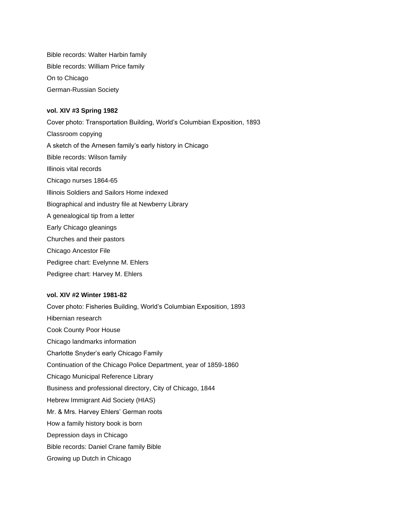Bible records: Walter Harbin family Bible records: William Price family On to Chicago German-Russian Society

### **vol. XIV #3 Spring 1982**

Cover photo: Transportation Building, World's Columbian Exposition, 1893 Classroom copying A sketch of the Arnesen family's early history in Chicago Bible records: Wilson family Illinois vital records Chicago nurses 1864-65 Illinois Soldiers and Sailors Home indexed Biographical and industry file at Newberry Library A genealogical tip from a letter Early Chicago gleanings Churches and their pastors Chicago Ancestor File Pedigree chart: Evelynne M. Ehlers Pedigree chart: Harvey M. Ehlers

### **vol. XIV #2 Winter 1981-82**

Cover photo: Fisheries Building, World's Columbian Exposition, 1893 Hibernian research Cook County Poor House Chicago landmarks information Charlotte Snyder's early Chicago Family Continuation of the Chicago Police Department, year of 1859-1860 Chicago Municipal Reference Library Business and professional directory, City of Chicago, 1844 Hebrew Immigrant Aid Society (HIAS) Mr. & Mrs. Harvey Ehlers' German roots How a family history book is born Depression days in Chicago Bible records: Daniel Crane family Bible Growing up Dutch in Chicago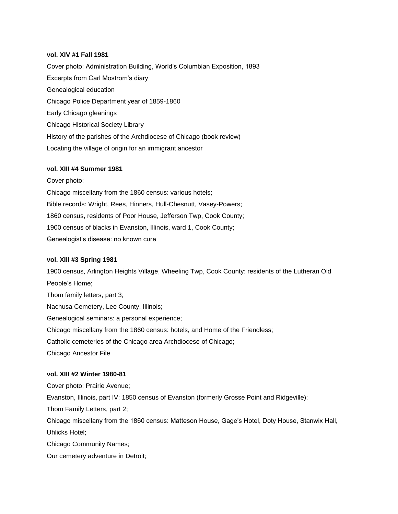#### **vol. XIV #1 Fall 1981**

Cover photo: Administration Building, World's Columbian Exposition, 1893 Excerpts from Carl Mostrom's diary Genealogical education Chicago Police Department year of 1859-1860 Early Chicago gleanings Chicago Historical Society Library History of the parishes of the Archdiocese of Chicago (book review) Locating the village of origin for an immigrant ancestor

### **vol. XIII #4 Summer 1981**

Cover photo:

Chicago miscellany from the 1860 census: various hotels; Bible records: Wright, Rees, Hinners, Hull-Chesnutt, Vasey-Powers; 1860 census, residents of Poor House, Jefferson Twp, Cook County; 1900 census of blacks in Evanston, Illinois, ward 1, Cook County; Genealogist's disease: no known cure

#### **vol. XIII #3 Spring 1981**

1900 census, Arlington Heights Village, Wheeling Twp, Cook County: residents of the Lutheran Old People's Home; Thom family letters, part 3; Nachusa Cemetery, Lee County, Illinois; Genealogical seminars: a personal experience; Chicago miscellany from the 1860 census: hotels, and Home of the Friendless; Catholic cemeteries of the Chicago area Archdiocese of Chicago; Chicago Ancestor File

#### **vol. XIII #2 Winter 1980-81**

Cover photo: Prairie Avenue; Evanston, Illinois, part IV: 1850 census of Evanston (formerly Grosse Point and Ridgeville); Thom Family Letters, part 2; Chicago miscellany from the 1860 census: Matteson House, Gage's Hotel, Doty House, Stanwix Hall,

Chicago Community Names;

Uhlicks Hotel;

Our cemetery adventure in Detroit;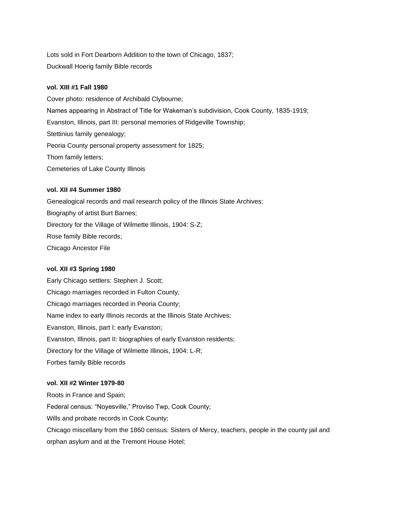Lots sold in Fort Dearborn Addition to the town of Chicago, 1837; Duckwall Hoerig family Bible records

### **vol. XIII #1 Fall 1980**

Cover photo: residence of Archibald Clybourne; Names appearing in Abstract of Title for Wakeman's subdivision, Cook County, 1835-1919; Evanston, Illinois, part III: personal memories of Ridgeville Township; Stettinius family genealogy; Peoria County personal property assessment for 1825; Thom family letters; Cemeteries of Lake County Illinois

### **vol. XII #4 Summer 1980**

Genealogical records and mail research policy of the Illinois State Archives; Biography of artist Burt Barnes; Directory for the Village of Wilmette Illinois, 1904: S-Z; Rose family Bible records; Chicago Ancestor File

#### **vol. XII #3 Spring 1980**

Early Chicago settlers: Stephen J. Scott; Chicago marriages recorded in Fulton County; Chicago marriages recorded in Peoria County; Name index to early Illinois records at the Illinois State Archives; Evanston, Illinois, part I: early Evanston; Evanston, Illinois, part II: biographies of early Evanston residents; Directory for the Village of Wilmette Illinois, 1904: L-R; Forbes family Bible records

#### **vol. XII #2 Winter 1979-80**

Roots in France and Spain; Federal census: "Noyesville," Proviso Twp, Cook County; Wills and probate records in Cook County; Chicago miscellany from the 1860 census: Sisters of Mercy, teachers, people in the county jail and orphan asylum and at the Tremont House Hotel;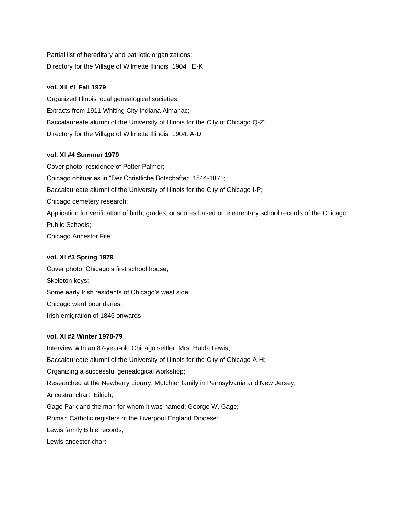Partial list of hereditary and patriotic organizations; Directory for the Village of Wilmette Illinois, 1904 : E-K

### **vol. XII #1 Fall 1979**

Organized Illinois local genealogical societies; Extracts from 1911 Whiting City Indiana Almanac; Baccalaureate alumni of the University of Illinois for the City of Chicago Q-Z; Directory for the Village of Wilmette Illinois, 1904: A-D

### **vol. XI #4 Summer 1979**

Cover photo: residence of Potter Palmer; Chicago obituaries in "Der Christliche Botschafter" 1844-1871; Baccalaureate alumni of the University of Illinois for the City of Chicago I-P; Chicago cemetery research; Application for verification of birth, grades, or scores based on elementary school records of the Chicago Public Schools; Chicago Ancestor File

### **vol. XI #3 Spring 1979**

Cover photo: Chicago's first school house; Skeleton keys; Some early Irish residents of Chicago's west side; Chicago ward boundaries; Irish emigration of 1846 onwards

### **vol. XI #2 Winter 1978-79**

Interview with an 87-year-old Chicago settler: Mrs. Hulda Lewis; Baccalaureate alumni of the University of Illinois for the City of Chicago A-H; Organizing a successful genealogical workshop; Researched at the Newberry Library: Mutchler family in Pennsylvania and New Jersey; Ancestral chart: Eilrich; Gage Park and the man for whom it was named: George W. Gage; Roman Catholic registers of the Liverpool England Diocese; Lewis family Bible records; Lewis ancestor chart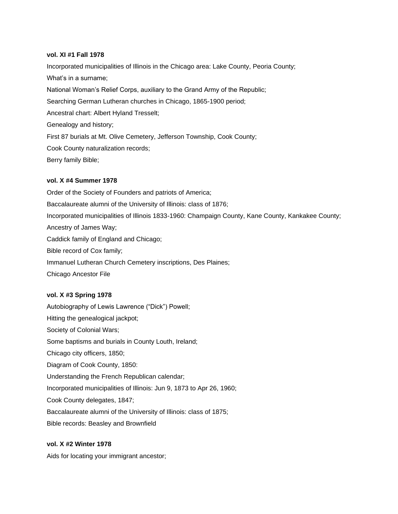#### **vol. XI #1 Fall 1978**

Incorporated municipalities of Illinois in the Chicago area: Lake County, Peoria County; What's in a surname; National Woman's Relief Corps, auxiliary to the Grand Army of the Republic; Searching German Lutheran churches in Chicago, 1865-1900 period; Ancestral chart: Albert Hyland Tresselt; Genealogy and history; First 87 burials at Mt. Olive Cemetery, Jefferson Township, Cook County; Cook County naturalization records; Berry family Bible;

### **vol. X #4 Summer 1978**

Order of the Society of Founders and patriots of America; Baccalaureate alumni of the University of Illinois: class of 1876; Incorporated municipalities of Illinois 1833-1960: Champaign County, Kane County, Kankakee County; Ancestry of James Way; Caddick family of England and Chicago; Bible record of Cox family; Immanuel Lutheran Church Cemetery inscriptions, Des Plaines; Chicago Ancestor File

### **vol. X #3 Spring 1978**

Autobiography of Lewis Lawrence ("Dick") Powell; Hitting the genealogical jackpot; Society of Colonial Wars; Some baptisms and burials in County Louth, Ireland; Chicago city officers, 1850; Diagram of Cook County, 1850: Understanding the French Republican calendar; Incorporated municipalities of Illinois: Jun 9, 1873 to Apr 26, 1960; Cook County delegates, 1847; Baccalaureate alumni of the University of Illinois: class of 1875; Bible records: Beasley and Brownfield

## **vol. X #2 Winter 1978**

Aids for locating your immigrant ancestor;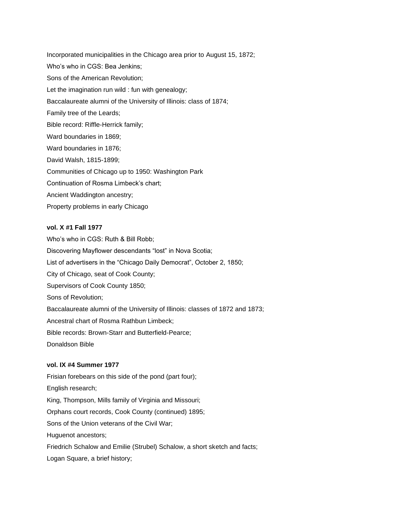Incorporated municipalities in the Chicago area prior to August 15, 1872; Who's who in CGS: Bea Jenkins; Sons of the American Revolution; Let the imagination run wild : fun with genealogy; Baccalaureate alumni of the University of Illinois: class of 1874; Family tree of the Leards; Bible record: Riffle-Herrick family; Ward boundaries in 1869; Ward boundaries in 1876; David Walsh, 1815-1899; Communities of Chicago up to 1950: Washington Park Continuation of Rosma Limbeck's chart; Ancient Waddington ancestry; Property problems in early Chicago

### **vol. X #1 Fall 1977**

Who's who in CGS: Ruth & Bill Robb; Discovering Mayflower descendants "lost" in Nova Scotia; List of advertisers in the "Chicago Daily Democrat", October 2, 1850; City of Chicago, seat of Cook County; Supervisors of Cook County 1850; Sons of Revolution; Baccalaureate alumni of the University of Illinois: classes of 1872 and 1873; Ancestral chart of Rosma Rathbun Limbeck; Bible records: Brown-Starr and Butterfield-Pearce; Donaldson Bible

### **vol. IX #4 Summer 1977**

Frisian forebears on this side of the pond (part four); English research; King, Thompson, Mills family of Virginia and Missouri; Orphans court records, Cook County (continued) 1895; Sons of the Union veterans of the Civil War; Huguenot ancestors; Friedrich Schalow and Emilie (Strubel) Schalow, a short sketch and facts; Logan Square, a brief history;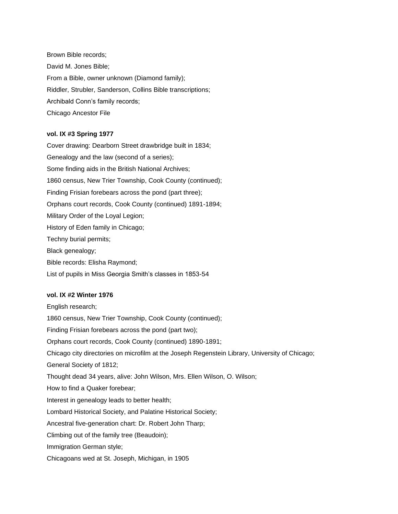Brown Bible records; David M. Jones Bible; From a Bible, owner unknown (Diamond family); Riddler, Strubler, Sanderson, Collins Bible transcriptions; Archibald Conn's family records; Chicago Ancestor File

### **vol. IX #3 Spring 1977**

Cover drawing: Dearborn Street drawbridge built in 1834; Genealogy and the law (second of a series); Some finding aids in the British National Archives; 1860 census, New Trier Township, Cook County (continued); Finding Frisian forebears across the pond (part three); Orphans court records, Cook County (continued) 1891-1894; Military Order of the Loyal Legion; History of Eden family in Chicago; Techny burial permits; Black genealogy; Bible records: Elisha Raymond; List of pupils in Miss Georgia Smith's classes in 1853-54

### **vol. IX #2 Winter 1976**

English research; 1860 census, New Trier Township, Cook County (continued); Finding Frisian forebears across the pond (part two); Orphans court records, Cook County (continued) 1890-1891; Chicago city directories on microfilm at the Joseph Regenstein Library, University of Chicago; General Society of 1812; Thought dead 34 years, alive: John Wilson, Mrs. Ellen Wilson, O. Wilson; How to find a Quaker forebear; Interest in genealogy leads to better health; Lombard Historical Society, and Palatine Historical Society; Ancestral five-generation chart: Dr. Robert John Tharp; Climbing out of the family tree (Beaudoin); Immigration German style; Chicagoans wed at St. Joseph, Michigan, in 1905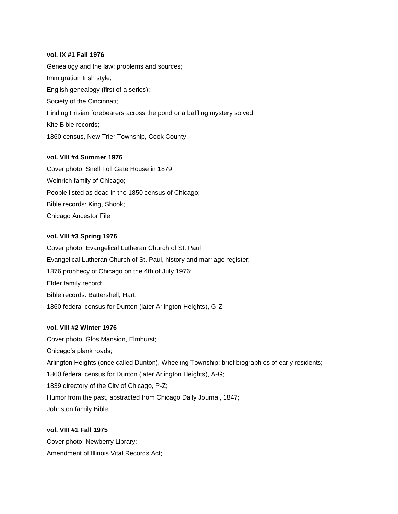### **vol. IX #1 Fall 1976**

Genealogy and the law: problems and sources; Immigration Irish style; English genealogy (first of a series); Society of the Cincinnati; Finding Frisian forebearers across the pond or a baffling mystery solved; Kite Bible records; 1860 census, New Trier Township, Cook County

### **vol. VIII #4 Summer 1976**

Cover photo: Snell Toll Gate House in 1879; Weinrich family of Chicago; People listed as dead in the 1850 census of Chicago; Bible records: King, Shook; Chicago Ancestor File

### **vol. VIII #3 Spring 1976**

Cover photo: Evangelical Lutheran Church of St. Paul Evangelical Lutheran Church of St. Paul, history and marriage register; 1876 prophecy of Chicago on the 4th of July 1976; Elder family record; Bible records: Battershell, Hart; 1860 federal census for Dunton (later Arlington Heights), G-Z

### **vol. VIII #2 Winter 1976**

Cover photo: Glos Mansion, Elmhurst; Chicago's plank roads; Arlington Heights (once called Dunton), Wheeling Township: brief biographies of early residents; 1860 federal census for Dunton (later Arlington Heights), A-G; 1839 directory of the City of Chicago, P-Z; Humor from the past, abstracted from Chicago Daily Journal, 1847; Johnston family Bible

### **vol. VIII #1 Fall 1975**

Cover photo: Newberry Library; Amendment of Illinois Vital Records Act;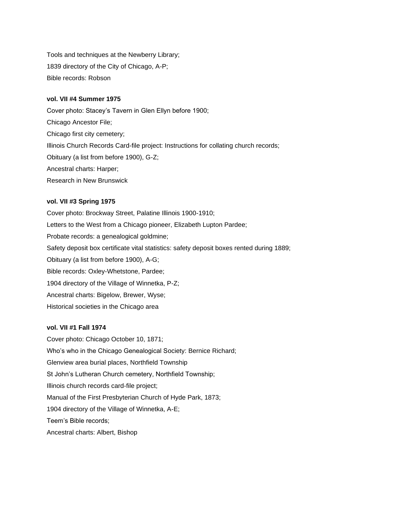Tools and techniques at the Newberry Library; 1839 directory of the City of Chicago, A-P; Bible records: Robson

#### **vol. VII #4 Summer 1975**

Cover photo: Stacey's Tavern in Glen Ellyn before 1900; Chicago Ancestor File; Chicago first city cemetery; Illinois Church Records Card-file project: Instructions for collating church records; Obituary (a list from before 1900), G-Z; Ancestral charts: Harper; Research in New Brunswick

### **vol. VII #3 Spring 1975**

Cover photo: Brockway Street, Palatine Illinois 1900-1910; Letters to the West from a Chicago pioneer, Elizabeth Lupton Pardee; Probate records: a genealogical goldmine; Safety deposit box certificate vital statistics: safety deposit boxes rented during 1889; Obituary (a list from before 1900), A-G; Bible records: Oxley-Whetstone, Pardee; 1904 directory of the Village of Winnetka, P-Z; Ancestral charts: Bigelow, Brewer, Wyse; Historical societies in the Chicago area

#### **vol. VII #1 Fall 1974**

Cover photo: Chicago October 10, 1871; Who's who in the Chicago Genealogical Society: Bernice Richard; Glenview area burial places, Northfield Township St John's Lutheran Church cemetery, Northfield Township; Illinois church records card-file project; Manual of the First Presbyterian Church of Hyde Park, 1873; 1904 directory of the Village of Winnetka, A-E; Teem's Bible records; Ancestral charts: Albert, Bishop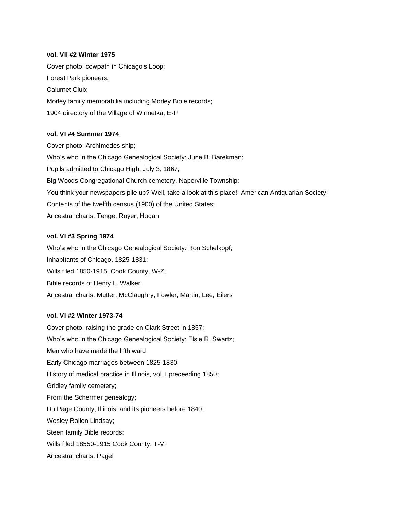### **vol. VII #2 Winter 1975**

Cover photo: cowpath in Chicago's Loop; Forest Park pioneers; Calumet Club; Morley family memorabilia including Morley Bible records; 1904 directory of the Village of Winnetka, E-P

#### **vol. VI #4 Summer 1974**

Cover photo: Archimedes ship; Who's who in the Chicago Genealogical Society: June B. Barekman; Pupils admitted to Chicago High, July 3, 1867; Big Woods Congregational Church cemetery, Naperville Township; You think your newspapers pile up? Well, take a look at this place!: American Antiquarian Society; Contents of the twelfth census (1900) of the United States; Ancestral charts: Tenge, Royer, Hogan

### **vol. VI #3 Spring 1974**

Who's who in the Chicago Genealogical Society: Ron Schelkopf; Inhabitants of Chicago, 1825-1831; Wills filed 1850-1915, Cook County, W-Z; Bible records of Henry L. Walker; Ancestral charts: Mutter, McClaughry, Fowler, Martin, Lee, Eilers

#### **vol. VI #2 Winter 1973-74**

Cover photo: raising the grade on Clark Street in 1857; Who's who in the Chicago Genealogical Society: Elsie R. Swartz; Men who have made the fifth ward; Early Chicago marriages between 1825-1830; History of medical practice in Illinois, vol. I preceeding 1850; Gridley family cemetery; From the Schermer genealogy; Du Page County, Illinois, and its pioneers before 1840; Wesley Rollen Lindsay; Steen family Bible records; Wills filed 18550-1915 Cook County, T-V; Ancestral charts: Pagel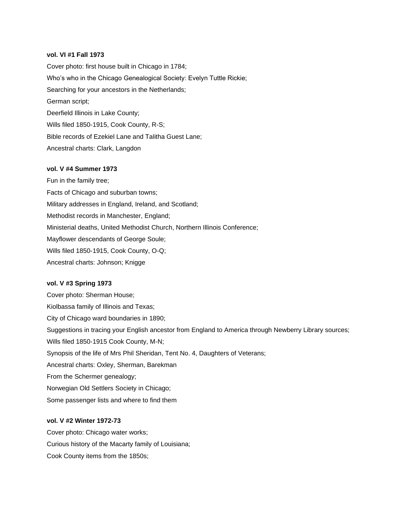#### **vol. VI #1 Fall 1973**

Cover photo: first house built in Chicago in 1784; Who's who in the Chicago Genealogical Society: Evelyn Tuttle Rickie; Searching for your ancestors in the Netherlands; German script; Deerfield Illinois in Lake County; Wills filed 1850-1915, Cook County, R-S; Bible records of Ezekiel Lane and Talitha Guest Lane; Ancestral charts: Clark, Langdon

### **vol. V #4 Summer 1973**

Fun in the family tree; Facts of Chicago and suburban towns; Military addresses in England, Ireland, and Scotland; Methodist records in Manchester, England; Ministerial deaths, United Methodist Church, Northern Illinois Conference; Mayflower descendants of George Soule; Wills filed 1850-1915, Cook County, O-Q; Ancestral charts: Johnson; Knigge

#### **vol. V #3 Spring 1973**

Cover photo: Sherman House; Kiolbassa family of Illinois and Texas; City of Chicago ward boundaries in 1890; Suggestions in tracing your English ancestor from England to America through Newberry Library sources; Wills filed 1850-1915 Cook County, M-N; Synopsis of the life of Mrs Phil Sheridan, Tent No. 4, Daughters of Veterans; Ancestral charts: Oxley, Sherman, Barekman From the Schermer genealogy; Norwegian Old Settlers Society in Chicago; Some passenger lists and where to find them

### **vol. V #2 Winter 1972-73**

Cover photo: Chicago water works; Curious history of the Macarty family of Louisiana; Cook County items from the 1850s;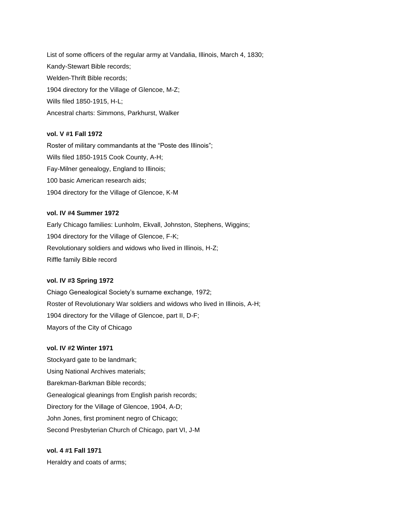List of some officers of the regular army at Vandalia, Illinois, March 4, 1830; Kandy-Stewart Bible records; Welden-Thrift Bible records; 1904 directory for the Village of Glencoe, M-Z; Wills filed 1850-1915, H-L; Ancestral charts: Simmons, Parkhurst, Walker

### **vol. V #1 Fall 1972**

Roster of military commandants at the "Poste des Illinois"; Wills filed 1850-1915 Cook County, A-H; Fay-Milner genealogy, England to Illinois; 100 basic American research aids; 1904 directory for the Village of Glencoe, K-M

### **vol. IV #4 Summer 1972**

Early Chicago families: Lunholm, Ekvall, Johnston, Stephens, Wiggins; 1904 directory for the Village of Glencoe, F-K; Revolutionary soldiers and widows who lived in Illinois, H-Z; Riffle family Bible record

### **vol. IV #3 Spring 1972**

Chiago Genealogical Society's surname exchange, 1972; Roster of Revolutionary War soldiers and widows who lived in Illinois, A-H; 1904 directory for the Village of Glencoe, part II, D-F; Mayors of the City of Chicago

### **vol. IV #2 Winter 1971**

Stockyard gate to be landmark; Using National Archives materials; Barekman-Barkman Bible records; Genealogical gleanings from English parish records; Directory for the Village of Glencoe, 1904, A-D; John Jones, first prominent negro of Chicago; Second Presbyterian Church of Chicago, part VI, J-M

## **vol. 4 #1 Fall 1971** Heraldry and coats of arms;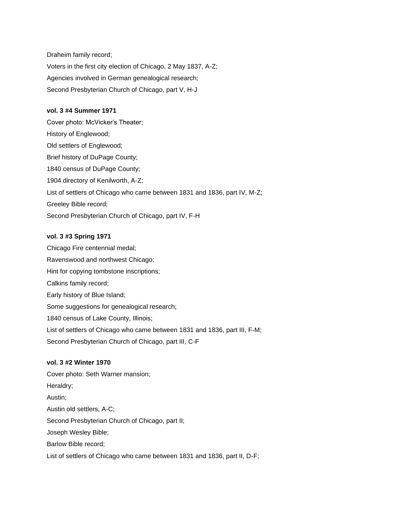Draheim family record; Voters in the first city election of Chicago, 2 May 1837, A-Z; Agencies involved in German genealogical research; Second Presbyterian Church of Chicago, part V, H-J

### **vol. 3 #4 Summer 1971**

Cover photo: McVicker's Theater; History of Englewood; Old settlers of Englewood; Brief history of DuPage County; 1840 census of DuPage County; 1904 directory of Kenilworth, A-Z; List of settlers of Chicago who came between 1831 and 1836, part IV, M-Z; Greeley Bible record; Second Presbyterian Church of Chicago, part IV, F-H

### **vol. 3 #3 Spring 1971**

Chicago Fire centennial medal; Ravenswood and northwest Chicago; Hint for copying tombstone inscriptions; Calkins family record; Early history of Blue Island; Some suggestions for genealogical research; 1840 census of Lake County, Illinois; List of settlers of Chicago who came between 1831 and 1836, part III, F-M; Second Presbyterian Church of Chicago, part III, C-F

### **vol. 3 #2 Winter 1970**

Cover photo: Seth Warner mansion; Heraldry; Austin; Austin old settlers, A-C; Second Presbyterian Church of Chicago, part II; Joseph Wesley Bible; Barlow Bible record; List of settlers of Chicago who came between 1831 and 1836, part II, D-F;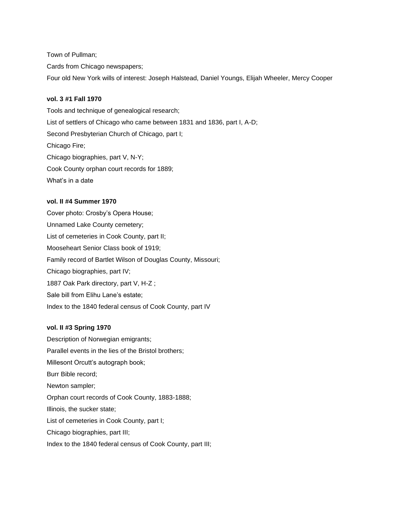Town of Pullman;

Cards from Chicago newspapers;

Four old New York wills of interest: Joseph Halstead, Daniel Youngs, Elijah Wheeler, Mercy Cooper

#### **vol. 3 #1 Fall 1970**

Tools and technique of genealogical research; List of settlers of Chicago who came between 1831 and 1836, part I, A-D; Second Presbyterian Church of Chicago, part I; Chicago Fire; Chicago biographies, part V, N-Y; Cook County orphan court records for 1889; What's in a date

## **vol. II #4 Summer 1970**

Cover photo: Crosby's Opera House; Unnamed Lake County cemetery; List of cemeteries in Cook County, part II; Mooseheart Senior Class book of 1919; Family record of Bartlet Wilson of Douglas County, Missouri; Chicago biographies, part IV; 1887 Oak Park directory, part V, H-Z ; Sale bill from Elihu Lane's estate; Index to the 1840 federal census of Cook County, part IV

#### **vol. II #3 Spring 1970**

Description of Norwegian emigrants; Parallel events in the lies of the Bristol brothers; Millesont Orcutt's autograph book; Burr Bible record; Newton sampler; Orphan court records of Cook County, 1883-1888; Illinois, the sucker state; List of cemeteries in Cook County, part I; Chicago biographies, part III;

Index to the 1840 federal census of Cook County, part III;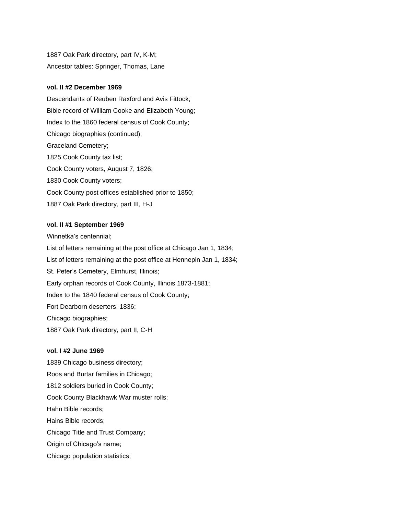1887 Oak Park directory, part IV, K-M; Ancestor tables: Springer, Thomas, Lane

#### **vol. II #2 December 1969**

Descendants of Reuben Raxford and Avis Fittock; Bible record of William Cooke and Elizabeth Young; Index to the 1860 federal census of Cook County; Chicago biographies (continued); Graceland Cemetery; 1825 Cook County tax list; Cook County voters, August 7, 1826; 1830 Cook County voters; Cook County post offices established prior to 1850; 1887 Oak Park directory, part III, H-J

### **vol. II #1 September 1969**

Winnetka's centennial; List of letters remaining at the post office at Chicago Jan 1, 1834; List of letters remaining at the post office at Hennepin Jan 1, 1834; St. Peter's Cemetery, Elmhurst, Illinois; Early orphan records of Cook County, Illinois 1873-1881; Index to the 1840 federal census of Cook County; Fort Dearborn deserters, 1836; Chicago biographies; 1887 Oak Park directory, part II, C-H

### **vol. I #2 June 1969**

1839 Chicago business directory; Roos and Burtar families in Chicago; 1812 soldiers buried in Cook County; Cook County Blackhawk War muster rolls; Hahn Bible records; Hains Bible records; Chicago Title and Trust Company; Origin of Chicago's name; Chicago population statistics;